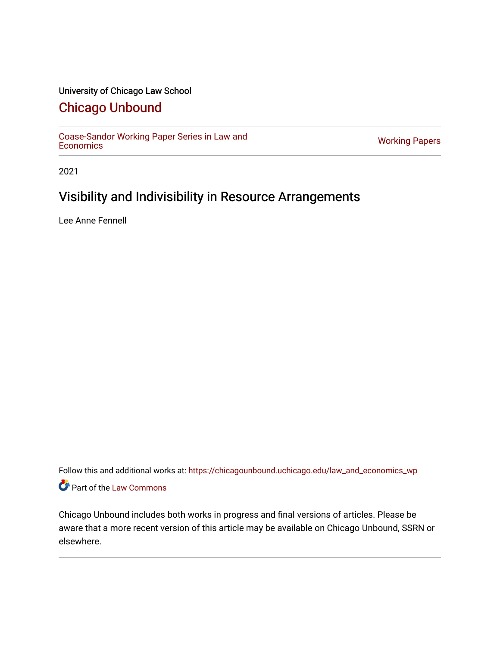# University of Chicago Law School

# [Chicago Unbound](https://chicagounbound.uchicago.edu/)

[Coase-Sandor Working Paper Series in Law and](https://chicagounbound.uchicago.edu/law_and_economics_wp) [Economics](https://chicagounbound.uchicago.edu/law_and_economics_wp) [Working Papers](https://chicagounbound.uchicago.edu/working_papers) 

2021

# Visibility and Indivisibility in Resource Arrangements

Lee Anne Fennell

Follow this and additional works at: [https://chicagounbound.uchicago.edu/law\\_and\\_economics\\_wp](https://chicagounbound.uchicago.edu/law_and_economics_wp?utm_source=chicagounbound.uchicago.edu%2Flaw_and_economics_wp%2F24&utm_medium=PDF&utm_campaign=PDFCoverPages)  Part of the [Law Commons](http://network.bepress.com/hgg/discipline/578?utm_source=chicagounbound.uchicago.edu%2Flaw_and_economics_wp%2F24&utm_medium=PDF&utm_campaign=PDFCoverPages)

Chicago Unbound includes both works in progress and final versions of articles. Please be aware that a more recent version of this article may be available on Chicago Unbound, SSRN or elsewhere.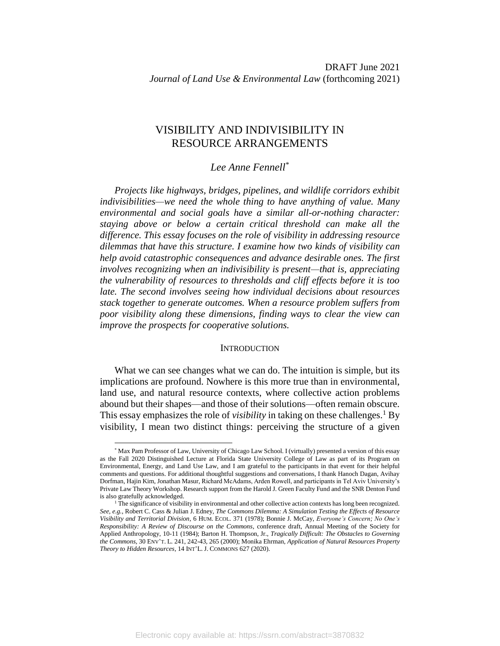# VISIBILITY AND INDIVISIBILITY IN RESOURCE ARRANGEMENTS

# *Lee Anne Fennell\**

*Projects like highways, bridges, pipelines, and wildlife corridors exhibit indivisibilities—we need the whole thing to have anything of value. Many environmental and social goals have a similar all-or-nothing character: staying above or below a certain critical threshold can make all the difference. This essay focuses on the role of visibility in addressing resource dilemmas that have this structure. I examine how two kinds of visibility can help avoid catastrophic consequences and advance desirable ones. The first involves recognizing when an indivisibility is present—that is, appreciating the vulnerability of resources to thresholds and cliff effects before it is too late. The second involves seeing how individual decisions about resources stack together to generate outcomes. When a resource problem suffers from poor visibility along these dimensions, finding ways to clear the view can improve the prospects for cooperative solutions.*

### <span id="page-1-0"></span>**INTRODUCTION**

What we can see changes what we can do. The intuition is simple, but its implications are profound. Nowhere is this more true than in environmental, land use, and natural resource contexts, where collective action problems abound but their shapes—and those of their solutions—often remain obscure. This essay emphasizes the role of *visibility* in taking on these challenges.<sup>1</sup> By visibility, I mean two distinct things: perceiving the structure of a given

<sup>\*</sup> Max Pam Professor of Law, University of Chicago Law School. I (virtually) presented a version of this essay as the Fall 2020 Distinguished Lecture at Florida State University College of Law as part of its Program on Environmental, Energy, and Land Use Law, and I am grateful to the participants in that event for their helpful comments and questions. For additional thoughtful suggestions and conversations, I thank Hanoch Dagan, Avihay Dorfman, Hajin Kim, Jonathan Masur, Richard McAdams, Arden Rowell, and participants in Tel Aviv University's Private Law Theory Workshop. Research support from the Harold J. Green Faculty Fund and the SNR Denton Fund is also gratefully acknowledged.

<sup>1</sup> The significance of visibility in environmental and other collective action contexts has long been recognized. *See, e.g.*, Robert C. Cass & Julian J. Edney, *The Commons Dilemma: A Simulation Testing the Effects of Resource Visibility and Territorial Division*, 6 HUM. ECOL. 371 (1978); Bonnie J. McCay, *Everyone's Concern; No One's Responsibility: A Review of Discourse on the Commons*, conference draft, Annual Meeting of the Society for Applied Anthropology, 10-11 (1984); Barton H. Thompson, Jr., *Tragically Difficult: The Obstacles to Governing the Commons*, 30 ENV'T. L. 241, 242-43, 265 (2000); Monika Ehrman, *Application of Natural Resources Property Theory to Hidden Resources*, 14 INT'L. J. COMMONS 627 (2020).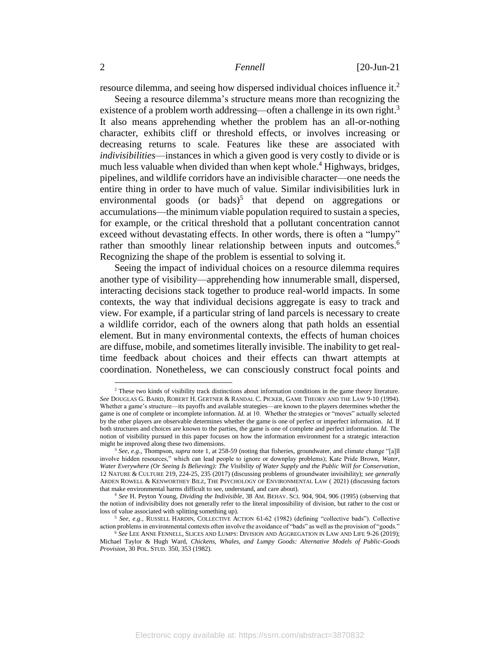<span id="page-2-2"></span>resource dilemma, and seeing how dispersed individual choices influence it.<sup>2</sup>

<span id="page-2-4"></span><span id="page-2-0"></span>Seeing a resource dilemma's structure means more than recognizing the existence of a problem worth addressing—often a challenge in its own right.<sup>3</sup> It also means apprehending whether the problem has an all-or-nothing character, exhibits cliff or threshold effects, or involves increasing or decreasing returns to scale. Features like these are associated with *indivisibilities*—instances in which a given good is very costly to divide or is much less valuable when divided than when kept whole.<sup>4</sup> Highways, bridges, pipelines, and wildlife corridors have an indivisible character—one needs the entire thing in order to have much of value. Similar indivisibilities lurk in environmental goods (or bads)<sup>5</sup> that depend on aggregations or accumulations—the minimum viable population required to sustain a species, for example, or the critical threshold that a pollutant concentration cannot exceed without devastating effects. In other words, there is often a "lumpy" rather than smoothly linear relationship between inputs and outcomes.<sup>6</sup> Recognizing the shape of the problem is essential to solving it.

<span id="page-2-3"></span><span id="page-2-1"></span>Seeing the impact of individual choices on a resource dilemma requires another type of visibility—apprehending how innumerable small, dispersed, interacting decisions stack together to produce real-world impacts. In some contexts, the way that individual decisions aggregate is easy to track and view. For example, if a particular string of land parcels is necessary to create a wildlife corridor, each of the owners along that path holds an essential element. But in many environmental contexts, the effects of human choices are diffuse, mobile, and sometimes literally invisible. The inability to get realtime feedback about choices and their effects can thwart attempts at coordination. Nonetheless, we can consciously construct focal points and

<sup>&</sup>lt;sup>2</sup> These two kinds of visibility track distinctions about information conditions in the game theory literature. *See* DOUGLAS G. BAIRD, ROBERT H. GERTNER & RANDAL C. PICKER, GAME THEORY AND THE LAW 9-10 (1994). Whether a game's structure—its payoffs and available strategies—are known to the players determines whether the game is one of complete or incomplete information. *Id.* at 10. Whether the strategies or "moves" actually selected by the other players are observable determines whether the game is one of perfect or imperfect information. *Id.* If both structures and choices are known to the parties, the game is one of complete and perfect information. *Id.* The notion of visibility pursued in this paper focuses on how the information environment for a strategic interaction might be improved along these two dimensions.

<sup>3</sup> *See, e.g.,* Thompson, *supra* not[e 1,](#page-1-0) at 258-59 (noting that fisheries, groundwater, and climate change "[a]ll involve hidden resources," which can lead people to ignore or downplay problems); Kate Pride Brown, *Water, Water Everywhere (Or Seeing Is Believing): The Visibility of Water Supply and the Public Will for Conservation*, 12 NATURE & CULTURE 219, 224-25, 235 (2017) (discussing problems of groundwater invisibility); *see generally* ARDEN ROWELL & KENWORTHEY BILZ, THE PSYCHOLOGY OF ENVIRONMENTAL LAW ( 2021) (discussing factors that make environmental harms difficult to see, understand, and care about).

<sup>4</sup> *See* H. Peyton Young, *Dividing the Indivisible*, 38 AM. BEHAV. SCI. 904, 904, 906 (1995) (observing that the notion of indivisibility does not generally refer to the literal impossibility of division, but rather to the cost or loss of value associated with splitting something up).

<sup>5</sup> *See, e.g.,* RUSSELL HARDIN, COLLECTIVE ACTION 61-62 (1982) (defining "collective bads"). Collective action problems in environmental contexts often involve the avoidance of "bads" as well as the provision of "goods."

<sup>6</sup> *See* LEE ANNE FENNELL, SLICES AND LUMPS: DIVISION AND AGGREGATION IN LAW AND LIFE 9-26 (2019); Michael Taylor & Hugh Ward, *Chickens, Whales, and Lumpy Goods: Alternative Models of Public-Goods Provision*, 30 POL. STUD. 350, 353 (1982).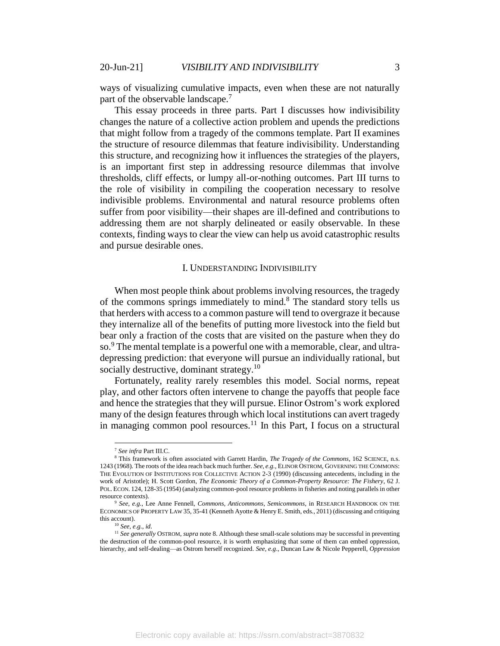ways of visualizing cumulative impacts, even when these are not naturally part of the observable landscape.<sup>7</sup>

This essay proceeds in three parts. Part I discusses how indivisibility changes the nature of a collective action problem and upends the predictions that might follow from a tragedy of the commons template. Part II examines the structure of resource dilemmas that feature indivisibility. Understanding this structure, and recognizing how it influences the strategies of the players, is an important first step in addressing resource dilemmas that involve thresholds, cliff effects, or lumpy all-or-nothing outcomes. Part III turns to the role of visibility in compiling the cooperation necessary to resolve indivisible problems. Environmental and natural resource problems often suffer from poor visibility—their shapes are ill-defined and contributions to addressing them are not sharply delineated or easily observable. In these contexts, finding ways to clear the view can help us avoid catastrophic results and pursue desirable ones.

### <span id="page-3-0"></span>I. UNDERSTANDING INDIVISIBILITY

When most people think about problems involving resources, the tragedy of the commons springs immediately to mind.<sup>8</sup> The standard story tells us that herders with access to a common pasture will tend to overgraze it because they internalize all of the benefits of putting more livestock into the field but bear only a fraction of the costs that are visited on the pasture when they do so.<sup>9</sup> The mental template is a powerful one with a memorable, clear, and ultradepressing prediction: that everyone will pursue an individually rational, but socially destructive, dominant strategy.<sup>10</sup>

Fortunately, reality rarely resembles this model. Social norms, repeat play, and other factors often intervene to change the payoffs that people face and hence the strategies that they will pursue. Elinor Ostrom's work explored many of the design features through which local institutions can avert tragedy in managing common pool resources.<sup>11</sup> In this Part, I focus on a structural

<span id="page-3-1"></span><sup>7</sup> *See infra* Part III.C.

<sup>8</sup> This framework is often associated with Garrett Hardin, *The Tragedy of the Commons*, 162 SCIENCE, n.s. 1243 (1968). The roots of the idea reach back much further. *See, e.g.,* ELINOR OSTROM, GOVERNING THE COMMONS: THE EVOLUTION OF INSTITUTIONS FOR COLLECTIVE ACTION 2-3 (1990) (discussing antecedents, including in the work of Aristotle); H. Scott Gordon, *The Economic Theory of a Common-Property Resource: The Fishery*, 62 J. POL. ECON. 124, 128-35 (1954) (analyzing common-pool resource problems in fisheries and noting parallels in other resource contexts).

<sup>9</sup> *See, e.g.*, Lee Anne Fennell, *Commons, Anticommons, Semicommons*, in RESEARCH HANDBOOK ON THE ECONOMICS OF PROPERTY LAW 35, 35-41 (Kenneth Ayotte & Henry E. Smith, eds., 2011) (discussing and critiquing this account).

<sup>10</sup> *See, e.g.*, *id*.

<sup>&</sup>lt;sup>11</sup> See generally OSTROM, *supra* not[e 8.](#page-3-0) Although these small-scale solutions may be successful in preventing the destruction of the common-pool resource, it is worth emphasizing that some of them can embed oppression, hierarchy, and self-dealing—as Ostrom herself recognized. *See, e.g*., Duncan Law & Nicole Pepperell, *Oppression*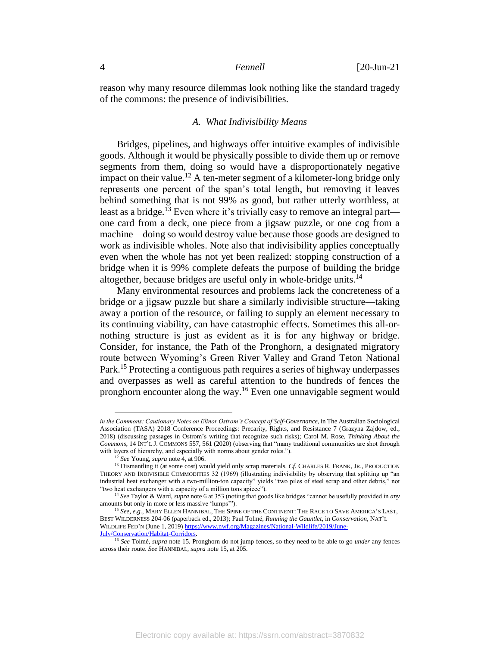reason why many resource dilemmas look nothing like the standard tragedy of the commons: the presence of indivisibilities.

# *A. What Indivisibility Means*

Bridges, pipelines, and highways offer intuitive examples of indivisible goods. Although it would be physically possible to divide them up or remove segments from them, doing so would have a disproportionately negative impact on their value.<sup>12</sup> A ten-meter segment of a kilometer-long bridge only represents one percent of the span's total length, but removing it leaves behind something that is not 99% as good, but rather utterly worthless, at least as a bridge.<sup>13</sup> Even where it's trivially easy to remove an integral part one card from a deck, one piece from a jigsaw puzzle, or one cog from a machine—doing so would destroy value because those goods are designed to work as indivisible wholes. Note also that indivisibility applies conceptually even when the whole has not yet been realized: stopping construction of a bridge when it is 99% complete defeats the purpose of building the bridge altogether, because bridges are useful only in whole-bridge units.<sup>14</sup>

Many environmental resources and problems lack the concreteness of a bridge or a jigsaw puzzle but share a similarly indivisible structure—taking away a portion of the resource, or failing to supply an element necessary to its continuing viability, can have catastrophic effects. Sometimes this all-ornothing structure is just as evident as it is for any highway or bridge. Consider, for instance, the Path of the Pronghorn, a designated migratory route between Wyoming's Green River Valley and Grand Teton National Park.<sup>15</sup> Protecting a contiguous path requires a series of highway underpasses and overpasses as well as careful attention to the hundreds of fences the pronghorn encounter along the way. <sup>16</sup> Even one unnavigable segment would

<span id="page-4-0"></span>*in the Commons: Cautionary Notes on Elinor Ostrom's Concept of Self-Governance*, in The Australian Sociological Association (TASA) 2018 Conference Proceedings: Precarity, Rights, and Resistance 7 (Grazyna Zajdow, ed., 2018) (discussing passages in Ostrom's writing that recognize such risks); Carol M. Rose, *Thinking About the Commons*, 14 INT'L J. COMMONS 557, 561 (2020) (observing that "many traditional communities are shot through with layers of hierarchy, and especially with norms about gender roles.").

<sup>12</sup> *See* Young*, supra* not[e 4,](#page-2-0) at 906.

<sup>&</sup>lt;sup>13</sup> Dismantling it (at some cost) would yield only scrap materials. *Cf.* CHARLES R. FRANK, JR., PRODUCTION THEORY AND INDIVISIBLE COMMODITIES 32 (1969) (illustrating indivisibility by observing that splitting up "an industrial heat exchanger with a two-million-ton capacity" yields "two piles of steel scrap and other debris," not "two heat exchangers with a capacity of a million tons apiece").

<sup>14</sup> *See* Taylor & Ward, *supra* not[e 6](#page-2-1) at 353 (noting that goods like bridges "cannot be usefully provided in *any* amounts but only in more or less massive 'lumps'").

<sup>&</sup>lt;sup>15</sup> See, e.g., MARY ELLEN HANNIBAL, THE SPINE OF THE CONTINENT: THE RACE TO SAVE AMERICA'S LAST, BEST WILDERNESS 204-06 (paperback ed., 2013); Paul Tolmé, *Running the Gauntlet*, in *Conservation*, NAT'L WILDLIFE FED'N (June 1, 2019[\) https://www.nwf.org/Magazines/National-Wildlife/2019/June-](https://www.nwf.org/Magazines/National-Wildlife/2019/June-July/Conservation/Habitat-Corridors)[July/Conservation/Habitat-Corridors.](https://www.nwf.org/Magazines/National-Wildlife/2019/June-July/Conservation/Habitat-Corridors)

<sup>16</sup> *See* Tolmé, *supra* not[e 15.](#page-4-0) Pronghorn do not jump fences, so they need to be able to go *under* any fences across their route. *See* HANNIBAL, *supra* not[e 15,](#page-4-0) at 205.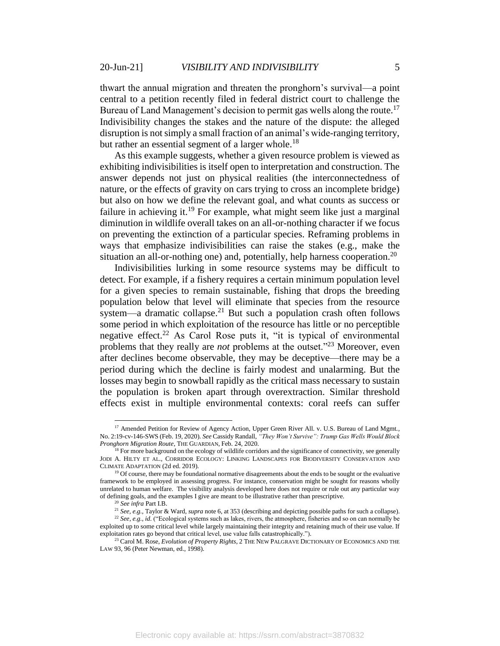thwart the annual migration and threaten the pronghorn's survival—a point central to a petition recently filed in federal district court to challenge the Bureau of Land Management's decision to permit gas wells along the route.<sup>17</sup> Indivisibility changes the stakes and the nature of the dispute: the alleged disruption is not simply a small fraction of an animal's wide-ranging territory, but rather an essential segment of a larger whole.<sup>18</sup>

<span id="page-5-0"></span>As this example suggests, whether a given resource problem is viewed as exhibiting indivisibilities is itself open to interpretation and construction. The answer depends not just on physical realities (the interconnectedness of nature, or the effects of gravity on cars trying to cross an incomplete bridge) but also on how we define the relevant goal, and what counts as success or failure in achieving it.<sup>19</sup> For example, what might seem like just a marginal diminution in wildlife overall takes on an all-or-nothing character if we focus on preventing the extinction of a particular species. Reframing problems in ways that emphasize indivisibilities can raise the stakes (e.g., make the situation an all-or-nothing one) and, potentially, help harness cooperation.<sup>20</sup>

Indivisibilities lurking in some resource systems may be difficult to detect. For example, if a fishery requires a certain minimum population level for a given species to remain sustainable, fishing that drops the breeding population below that level will eliminate that species from the resource system—a dramatic collapse.<sup>21</sup> But such a population crash often follows some period in which exploitation of the resource has little or no perceptible negative effect.<sup>22</sup> As Carol Rose puts it, "it is typical of environmental problems that they really are *not* problems at the outset."<sup>23</sup> Moreover, even after declines become observable, they may be deceptive—there may be a period during which the decline is fairly modest and unalarming. But the losses may begin to snowball rapidly as the critical mass necessary to sustain the population is broken apart through overextraction. Similar threshold effects exist in multiple environmental contexts: coral reefs can suffer

<sup>&</sup>lt;sup>17</sup> Amended Petition for Review of Agency Action, Upper Green River All. v. U.S. Bureau of Land Mgmt., No. 2:19-cv-146-SWS (Feb. 19, 2020). *See* Cassidy Randall, *"They Won't Survive": Trump Gas Wells Would Block Pronghorn Migration Route*, THE GUARDIAN, Feb. 24, 2020.

<sup>&</sup>lt;sup>18</sup> For more background on the ecology of wildlife corridors and the significance of connectivity, see generally JODI A. HILTY ET AL., CORRIDOR ECOLOGY: LINKING LANDSCAPES FOR BIODIVERSITY CONSERVATION AND CLIMATE ADAPTATION (2d ed. 2019).

<sup>&</sup>lt;sup>19</sup> Of course, there may be foundational normative disagreements about the ends to be sought or the evaluative framework to be employed in assessing progress. For instance, conservation might be sought for reasons wholly unrelated to human welfare. The visibility analysis developed here does not require or rule out any particular way of defining goals, and the examples I give are meant to be illustrative rather than prescriptive.

<sup>20</sup> *See infra* Part I.B.

<sup>21</sup> *See, e.g.,* Taylor & Ward, *supra* not[e 6,](#page-2-1) at 353 (describing and depicting possible paths for such a collapse).

<sup>22</sup> *See, e.g., id*. ("Ecological systems such as lakes, rivers, the atmosphere, fisheries and so on can normally be exploited up to some critical level while largely maintaining their integrity and retaining much of their use value. If exploitation rates go beyond that critical level, use value falls catastrophically.").

<sup>23</sup> Carol M. Rose, *Evolution of Property Rights*, 2 THE NEW PALGRAVE DICTIONARY OF ECONOMICS AND THE LAW 93, 96 (Peter Newman, ed., 1998).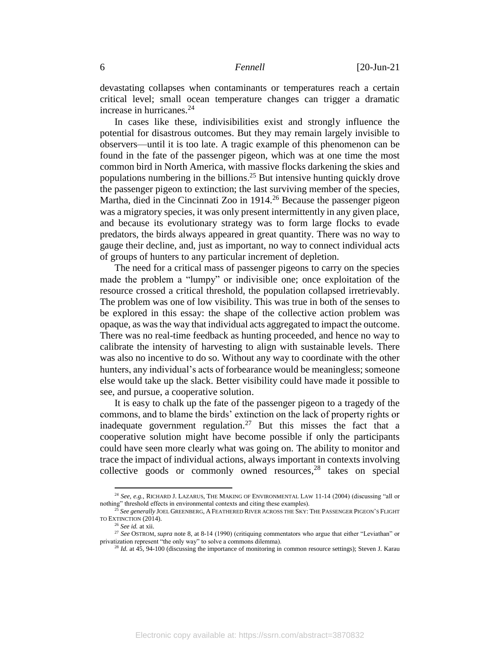devastating collapses when contaminants or temperatures reach a certain critical level; small ocean temperature changes can trigger a dramatic increase in hurricanes.<sup>24</sup>

<span id="page-6-1"></span><span id="page-6-0"></span>In cases like these, indivisibilities exist and strongly influence the potential for disastrous outcomes. But they may remain largely invisible to observers—until it is too late. A tragic example of this phenomenon can be found in the fate of the passenger pigeon, which was at one time the most common bird in North America, with massive flocks darkening the skies and populations numbering in the billions. <sup>25</sup> But intensive hunting quickly drove the passenger pigeon to extinction; the last surviving member of the species, Martha, died in the Cincinnati Zoo in 1914.<sup>26</sup> Because the passenger pigeon was a migratory species, it was only present intermittently in any given place, and because its evolutionary strategy was to form large flocks to evade predators, the birds always appeared in great quantity. There was no way to gauge their decline, and, just as important, no way to connect individual acts of groups of hunters to any particular increment of depletion.

<span id="page-6-2"></span>The need for a critical mass of passenger pigeons to carry on the species made the problem a "lumpy" or indivisible one; once exploitation of the resource crossed a critical threshold, the population collapsed irretrievably. The problem was one of low visibility. This was true in both of the senses to be explored in this essay: the shape of the collective action problem was opaque, as was the way that individual acts aggregated to impact the outcome. There was no real-time feedback as hunting proceeded, and hence no way to calibrate the intensity of harvesting to align with sustainable levels. There was also no incentive to do so. Without any way to coordinate with the other hunters, any individual's acts of forbearance would be meaningless; someone else would take up the slack. Better visibility could have made it possible to see, and pursue, a cooperative solution.

It is easy to chalk up the fate of the passenger pigeon to a tragedy of the commons, and to blame the birds' extinction on the lack of property rights or inadequate government regulation.<sup>27</sup> But this misses the fact that a cooperative solution might have become possible if only the participants could have seen more clearly what was going on. The ability to monitor and trace the impact of individual actions, always important in contexts involving collective goods or commonly owned resources, <sup>28</sup> takes on special

<sup>&</sup>lt;sup>24</sup> See, e.g., RICHARD J. LAZARUS, THE MAKING OF ENVIRONMENTAL LAW 11-14 (2004) (discussing "all or nothing" threshold effects in environmental contexts and citing these examples).

<sup>25</sup> *See generally* JOEL GREENBERG, A FEATHERED RIVER ACROSS THE SKY: THE PASSENGER PIGEON'S FLIGHT TO EXTINCTION (2014).

<sup>26</sup> *See id.* at xii.

<sup>&</sup>lt;sup>27</sup> See OSTROM, *supra* not[e 8,](#page-3-0) at 8-14 (1990) (critiquing commentators who argue that either "Leviathan" or privatization represent "the only way" to solve a commons dilemma).

<sup>&</sup>lt;sup>28</sup> *Id.* at 45, 94-100 (discussing the importance of monitoring in common resource settings); Steven J. Karau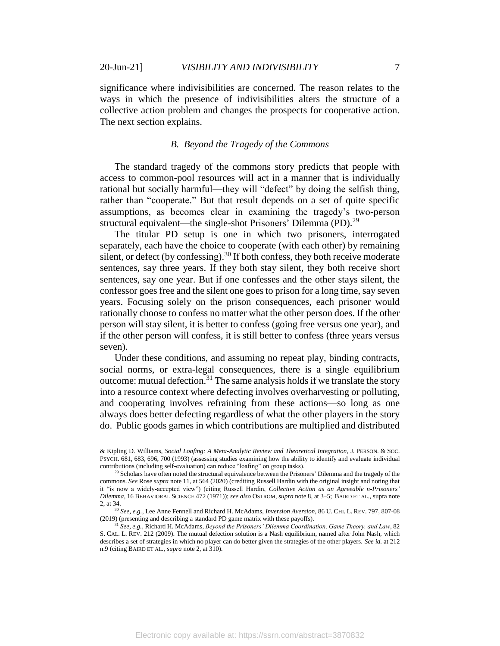$\overline{a}$ 

significance where indivisibilities are concerned. The reason relates to the ways in which the presence of indivisibilities alters the structure of a collective action problem and changes the prospects for cooperative action. The next section explains.

# <span id="page-7-1"></span>*B. Beyond the Tragedy of the Commons*

The standard tragedy of the commons story predicts that people with access to common-pool resources will act in a manner that is individually rational but socially harmful—they will "defect" by doing the selfish thing, rather than "cooperate." But that result depends on a set of quite specific assumptions, as becomes clear in examining the tragedy's two-person structural equivalent—the single-shot Prisoners' Dilemma (PD).<sup>29</sup>

The titular PD setup is one in which two prisoners, interrogated separately, each have the choice to cooperate (with each other) by remaining silent, or defect (by confessing).<sup>30</sup> If both confess, they both receive moderate sentences, say three years. If they both stay silent, they both receive short sentences, say one year. But if one confesses and the other stays silent, the confessor goes free and the silent one goes to prison for a long time, say seven years. Focusing solely on the prison consequences, each prisoner would rationally choose to confess no matter what the other person does. If the other person will stay silent, it is better to confess (going free versus one year), and if the other person will confess, it is still better to confess (three years versus seven).

<span id="page-7-0"></span>Under these conditions, and assuming no repeat play, binding contracts, social norms, or extra-legal consequences, there is a single equilibrium outcome: mutual defection.<sup>31</sup> The same analysis holds if we translate the story into a resource context where defecting involves overharvesting or polluting, and cooperating involves refraining from these actions—so long as one always does better defecting regardless of what the other players in the story do. Public goods games in which contributions are multiplied and distributed

<sup>&</sup>amp; Kipling D. Williams, *Social Loafing: A Meta-Analytic Review and Theoretical Integration*, J. PERSON. & SOC. PSYCH. 681, 683, 696, 700 (1993) (assessing studies examining how the ability to identify and evaluate individual contributions (including self-evaluation) can reduce "loafing" on group tasks).

 $29$  Scholars have often noted the structural equivalence between the Prisoners' Dilemma and the tragedy of the commons. *See* Rose *supra* not[e 11,](#page-3-1) at 564 (2020) (crediting Russell Hardin with the original insight and noting that it "is now a widely-accepted view") (citing Russell Hardin, *Collective Action as an Agreeable n-Prisoners' Dilemma*, 16 BEHAVIORAL SCIENCE 472 (1971)); *see also* OSTROM, *supra* not[e 8,](#page-3-0) at 3–5; BAIRD ET AL., supra note [2,](#page-2-2) at 34.

<sup>30</sup> *See, e.g.,* Lee Anne Fennell and Richard H. McAdams, *Inversion Aversion*, 86 U. CHI. L. REV. 797, 807-08 (2019) (presenting and describing a standard PD game matrix with these payoffs).

<sup>31</sup> *See, e.g.,* Richard H. McAdams, *Beyond the Prisoners' Dilemma Coordination, Game Theory, and Law*, 82 S. CAL. L. REV. 212 (2009). The mutual defection solution is a Nash equilibrium, named after John Nash, which describes a set of strategies in which no player can do better given the strategies of the other players. *See id.* at 212 n.9 (citing BAIRD ET AL., *supra* not[e 2,](#page-2-2) at 310).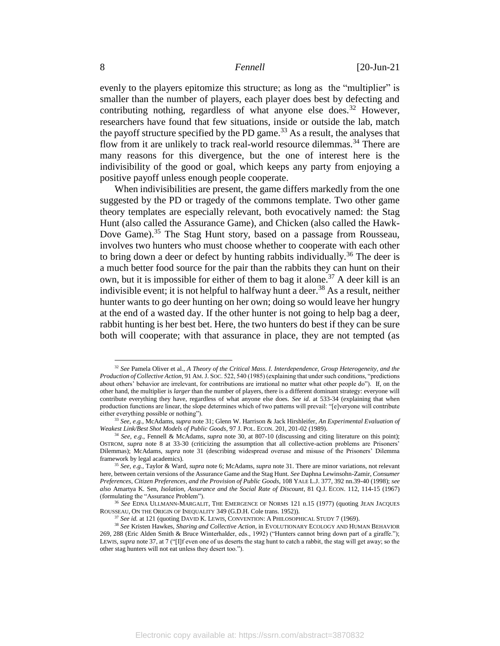<span id="page-8-3"></span><span id="page-8-0"></span>evenly to the players epitomize this structure; as long as the "multiplier" is smaller than the number of players, each player does best by defecting and contributing nothing, regardless of what anyone else does.<sup>32</sup> However, researchers have found that few situations, inside or outside the lab, match the payoff structure specified by the PD game.<sup>33</sup> As a result, the analyses that flow from it are unlikely to track real-world resource dilemmas.<sup>34</sup> There are many reasons for this divergence, but the one of interest here is the indivisibility of the good or goal, which keeps any party from enjoying a positive payoff unless enough people cooperate.

<span id="page-8-4"></span><span id="page-8-1"></span>When indivisibilities are present, the game differs markedly from the one suggested by the PD or tragedy of the commons template. Two other game theory templates are especially relevant, both evocatively named: the Stag Hunt (also called the Assurance Game), and Chicken (also called the Hawk-Dove Game).<sup>35</sup> The Stag Hunt story, based on a passage from Rousseau, involves two hunters who must choose whether to cooperate with each other to bring down a deer or defect by hunting rabbits individually.<sup>36</sup> The deer is a much better food source for the pair than the rabbits they can hunt on their own, but it is impossible for either of them to bag it alone.<sup>37</sup> A deer kill is an indivisible event; it is not helpful to halfway hunt a deer.<sup>38</sup> As a result, neither hunter wants to go deer hunting on her own; doing so would leave her hungry at the end of a wasted day. If the other hunter is not going to help bag a deer, rabbit hunting is her best bet. Here, the two hunters do best if they can be sure both will cooperate; with that assurance in place, they are not tempted (as

<span id="page-8-2"></span><sup>32</sup> *See* Pamela Oliver et al., *A Theory of the Critical Mass. I. Interdependence, Group Heterogeneity, and the Production of Collective Action,* 91 AM. J. SOC. 522, 540 (1985) (explaining that under such conditions, "predictions about others' behavior are irrelevant, for contributions are irrational no matter what other people do"). If, on the other hand, the multiplier is *larger* than the number of players, there is a different dominant strategy: everyone will contribute everything they have, regardless of what anyone else does. *See id*. at 533-34 (explaining that when production functions are linear, the slope determines which of two patterns will prevail: "[e]veryone will contribute either everything possible or nothing").

<sup>33</sup> *See, e.g.,* McAdams, *supra* not[e 31;](#page-7-0) Glenn W. Harrison & Jack Hirshleifer, *An Experimental Evaluation of Weakest Link/Best Shot Models of Public Goods*, 97 J. POL. ECON. 201, 201-02 (1989).

<sup>34</sup> *See, e.g.,* Fennell & McAdams, *supra* note [30,](#page-7-1) at 807-10 (discussing and citing literature on this point); OSTROM, *supra* note [8](#page-3-0) at [33-](#page-8-0)30 (criticizing the assumption that all collective-action problems are Prisoners' Dilemmas); McAdams, *supra* note [31](#page-7-0) (describing widespread overuse and misuse of the Prisoners' Dilemma framework by legal academics).

<sup>35</sup> *See, e.g.,* Taylor & Ward, *supra* not[e 6;](#page-2-1) McAdams, *supra* not[e 31.](#page-7-0) There are minor variations, not relevant here, between certain versions of the Assurance Game and the Stag Hunt. *See* Daphna Lewinsohn-Zamir, *Consumer Preferences, Citizen Preferences, and the Provision of Public Goods*, 108 YALE L.J. 377, 392 nn.39-40 (1998); *see also* Amartya K. Sen, *Isolation, Assurance and the Social Rate of Discount*, 81 Q.J. ECON. 112, 114-15 (1967) (formulating the "Assurance Problem").

<sup>&</sup>lt;sup>5</sup> See EDNA ULLMANN-MARGALIT, THE EMERGENCE OF NORMS 121 n.15 (1977) (quoting JEAN JACQUES ROUSSEAU, ON THE ORIGIN OF INEQUALITY 349 (G.D.H. Cole trans. 1952)).

<sup>&</sup>lt;sup>37</sup> *See id.* at 121 (quoting DAVID K. LEWIS, CONVENTION: A PHILOSOPHICAL STUDY 7 (1969).

<sup>38</sup> *See* Kristen Hawkes, *Sharing and Collective Action*, in EVOLUTIONARY ECOLOGY AND HUMAN BEHAVIOR 269, 288 (Eric Alden Smith & Bruce Winterhalder, eds., 1992) ("Hunters cannot bring down part of a giraffe."); LEWIS, *supra* not[e 37,](#page-8-1) at 7 ("[I]f even one of us deserts the stag hunt to catch a rabbit, the stag will get away; so the other stag hunters will not eat unless they desert too.").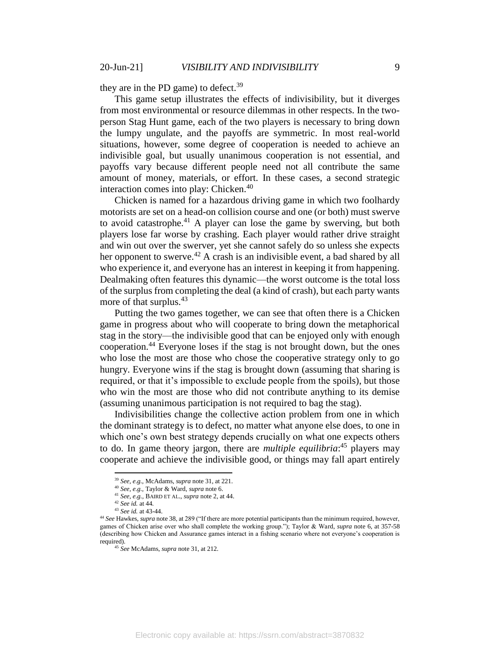they are in the PD game) to defect. $39$ 

This game setup illustrates the effects of indivisibility, but it diverges from most environmental or resource dilemmas in other respects. In the twoperson Stag Hunt game, each of the two players is necessary to bring down the lumpy ungulate, and the payoffs are symmetric. In most real-world situations, however, some degree of cooperation is needed to achieve an indivisible goal, but usually unanimous cooperation is not essential, and payoffs vary because different people need not all contribute the same amount of money, materials, or effort. In these cases, a second strategic interaction comes into play: Chicken.<sup>40</sup>

Chicken is named for a hazardous driving game in which two foolhardy motorists are set on a head-on collision course and one (or both) must swerve to avoid catastrophe.<sup>41</sup> A player can lose the game by swerving, but both players lose far worse by crashing. Each player would rather drive straight and win out over the swerver, yet she cannot safely do so unless she expects her opponent to swerve.<sup>42</sup> A crash is an indivisible event, a bad shared by all who experience it, and everyone has an interest in keeping it from happening. Dealmaking often features this dynamic—the worst outcome is the total loss of the surplus from completing the deal (a kind of crash), but each party wants more of that surplus.<sup>43</sup>

Putting the two games together, we can see that often there is a Chicken game in progress about who will cooperate to bring down the metaphorical stag in the story—the indivisible good that can be enjoyed only with enough cooperation. <sup>44</sup> Everyone loses if the stag is not brought down, but the ones who lose the most are those who chose the cooperative strategy only to go hungry. Everyone wins if the stag is brought down (assuming that sharing is required, or that it's impossible to exclude people from the spoils), but those who win the most are those who did not contribute anything to its demise (assuming unanimous participation is not required to bag the stag).

Indivisibilities change the collective action problem from one in which the dominant strategy is to defect, no matter what anyone else does, to one in which one's own best strategy depends crucially on what one expects others to do. In game theory jargon, there are *multiple equilibria*: <sup>45</sup> players may cooperate and achieve the indivisible good, or things may fall apart entirely

<sup>39</sup> *See, e.g.,* McAdams, *supra* not[e 31,](#page-7-0) at 221.

<sup>40</sup> *See, e.g.,* Taylor & Ward, *supra* not[e 6.](#page-2-1) 

<sup>41</sup> *See, e.g.,* BAIRD ET AL., *supra* not[e 2,](#page-2-2) at 44.

<sup>42</sup> *See id.* at 44*.*

<sup>43</sup> *See id.* at 43-44.

<sup>44</sup> *See* Hawkes*, supra* not[e 38,](#page-8-2) at 289 ("If there are more potential participants than the minimum required, however, games of Chicken arise over who shall complete the working group."); Taylor & Ward, *supra* note [6,](#page-2-1) at 357-58 (describing how Chicken and Assurance games interact in a fishing scenario where not everyone's cooperation is required).

<sup>45</sup> *See* McAdams, *supra* not[e 31,](#page-7-0) at 212.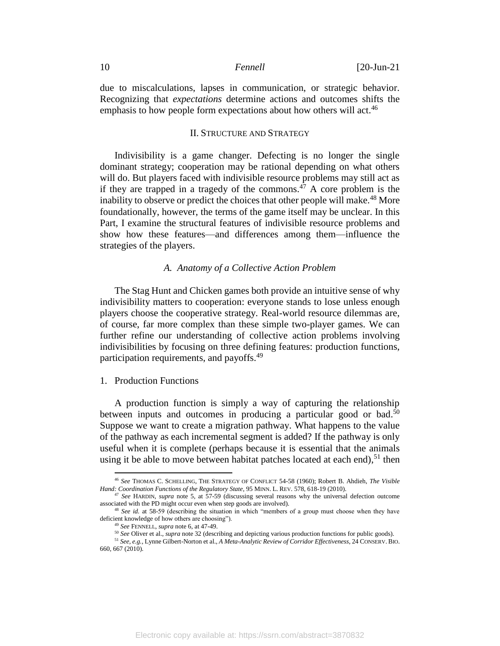due to miscalculations, lapses in communication, or strategic behavior. Recognizing that *expectations* determine actions and outcomes shifts the emphasis to how people form expectations about how others will act.<sup>46</sup>

### <span id="page-10-0"></span>II. STRUCTURE AND STRATEGY

Indivisibility is a game changer. Defecting is no longer the single dominant strategy; cooperation may be rational depending on what others will do. But players faced with indivisible resource problems may still act as if they are trapped in a tragedy of the commons.<sup> $47$ </sup> A core problem is the inability to observe or predict the choices that other people will make.<sup>48</sup> More foundationally, however, the terms of the game itself may be unclear. In this Part, I examine the structural features of indivisible resource problems and show how these features—and differences among them—influence the strategies of the players.

### *A. Anatomy of a Collective Action Problem*

The Stag Hunt and Chicken games both provide an intuitive sense of why indivisibility matters to cooperation: everyone stands to lose unless enough players choose the cooperative strategy. Real-world resource dilemmas are, of course, far more complex than these simple two-player games. We can further refine our understanding of collective action problems involving indivisibilities by focusing on three defining features: production functions, participation requirements, and payoffs.<sup>49</sup>

### 1. Production Functions

 $\overline{a}$ 

A production function is simply a way of capturing the relationship between inputs and outcomes in producing a particular good or bad.<sup>50</sup> Suppose we want to create a migration pathway. What happens to the value of the pathway as each incremental segment is added? If the pathway is only useful when it is complete (perhaps because it is essential that the animals using it be able to move between habitat patches located at each end), $51$  then

<sup>46</sup> *See* THOMAS C. SCHELLING, THE STRATEGY OF CONFLICT 54-58 (1960); Robert B. Ahdieh, *The Visible Hand: Coordination Functions of the Regulatory State*, 95 MINN. L. REV. 578, 618-19 (2010).

<sup>47</sup> *See* HARDIN, *supra* note [5,](#page-2-3) at 57-59 (discussing several reasons why the universal defection outcome associated with the PD might occur even when step goods are involved).

<sup>48</sup> *See id.* at 58-59 (describing the situation in which "members of a group must choose when they have deficient knowledge of how others are choosing").

<sup>49</sup> *See* FENNELL, *supra* not[e 6,](#page-2-1) at 47-49.

<sup>50</sup> *See* Oliver et al., *supra* not[e 32](#page-8-3) (describing and depicting various production functions for public goods).

<sup>51</sup> *See, e.g.,* Lynne Gilbert-Norton et al., *A Meta-Analytic Review of Corridor Effectiveness*, 24 CONSERV. BIO. 660, 667 (2010).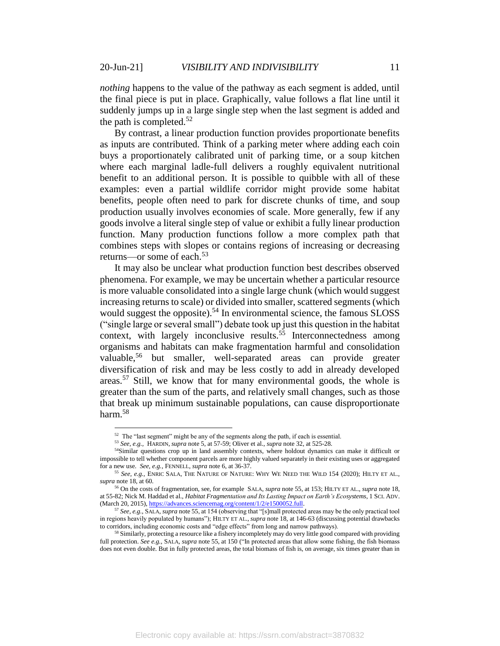*nothing* happens to the value of the pathway as each segment is added, until the final piece is put in place. Graphically, value follows a flat line until it suddenly jumps up in a large single step when the last segment is added and the path is completed.<sup>52</sup>

By contrast, a linear production function provides proportionate benefits as inputs are contributed. Think of a parking meter where adding each coin buys a proportionately calibrated unit of parking time, or a soup kitchen where each marginal ladle-full delivers a roughly equivalent nutritional benefit to an additional person. It is possible to quibble with all of these examples: even a partial wildlife corridor might provide some habitat benefits, people often need to park for discrete chunks of time, and soup production usually involves economies of scale. More generally, few if any goods involve a literal single step of value or exhibit a fully linear production function. Many production functions follow a more complex path that combines steps with slopes or contains regions of increasing or decreasing returns—or some of each.<sup>53</sup>

<span id="page-11-0"></span>It may also be unclear what production function best describes observed phenomena. For example, we may be uncertain whether a particular resource is more valuable consolidated into a single large chunk (which would suggest increasing returns to scale) or divided into smaller, scattered segments (which would suggest the opposite).<sup>54</sup> In environmental science, the famous SLOSS ("single large or several small") debate took up just this question in the habitat context, with largely inconclusive results.<sup>55</sup> Interconnectedness among organisms and habitats can make fragmentation harmful and consolidation valuable,<sup>56</sup> but smaller, well-separated areas can provide greater diversification of risk and may be less costly to add in already developed areas.<sup>57</sup> Still, we know that for many environmental goods, the whole is greater than the sum of the parts, and relatively small changes, such as those that break up minimum sustainable populations, can cause disproportionate harm.<sup>58</sup>

 $52$  The "last segment" might be any of the segments along the path, if each is essential.

<sup>53</sup> *See, e.g.,* HARDIN, *supra* not[e 5,](#page-2-3) at 57-59; Oliver et al., *supra* not[e 32,](#page-8-3) at 525-28.

<sup>&</sup>lt;sup>54</sup>Similar questions crop up in land assembly contexts, where holdout dynamics can make it difficult or impossible to tell whether component parcels are more highly valued separately in their existing uses or aggregated for a new use. *See, e.g.,* FENNELL, *supra* not[e 6,](#page-2-1) at 36-37.

<sup>55</sup> *See, e.g.,* ENRIC SALA, THE NATURE OF NATURE: WHY WE NEED THE WILD 154 (2020); HILTY ET AL., *supra* not[e 18,](#page-5-0) at 60.

<sup>56</sup> On the costs of fragmentation, see, for example SALA, *supra* not[e 55,](#page-11-0) at 153; HILTY ET AL., *supra* not[e 18,](#page-5-0)  at 55-82; Nick M. Haddad et al., *Habitat Fragmentation and Its Lasting Impact on Earth's Ecosystems*, 1 SCI. ADV. (March 20, 2015)[, https://advances.sciencemag.org/content/1/2/e1500052.full.](https://advances.sciencemag.org/content/1/2/e1500052.full)

<sup>57</sup> *See, e.g.,* SALA, *supra* not[e 55,](#page-11-0) at 154 (observing that "[s]mall protected areas may be the only practical tool in regions heavily populated by humans"); HILTY ET AL., *supra* not[e 18,](#page-5-0) at 146-63 (discussing potential drawbacks to corridors, including economic costs and "edge effects" from long and narrow pathways).

<sup>&</sup>lt;sup>58</sup> Similarly, protecting a resource like a fishery incompletely may do very little good compared with providing full protection. *See e.g.,* SALA, *supra* not[e 55,](#page-11-0) at 150 ("In protected areas that allow some fishing, the fish biomass does not even double. But in fully protected areas, the total biomass of fish is, on average, six times greater than in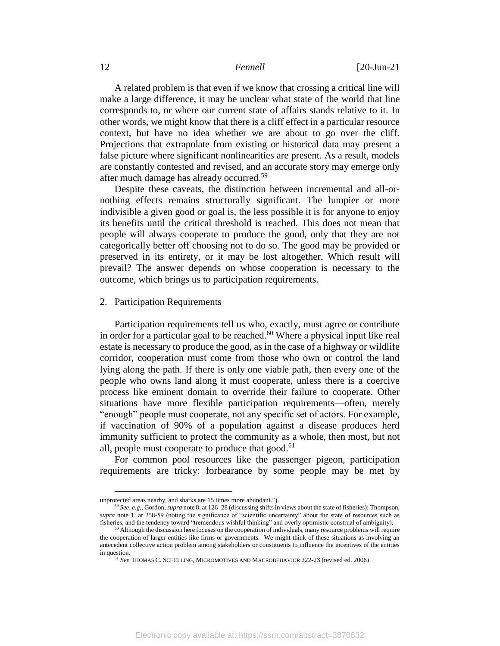A related problem is that even if we know that crossing a critical line will make a large difference, it may be unclear what state of the world that line corresponds to, or where our current state of affairs stands relative to it. In other words, we might know that there is a cliff effect in a particular resource context, but have no idea whether we are about to go over the cliff. Projections that extrapolate from existing or historical data may present a false picture where significant nonlinearities are present. As a result, models are constantly contested and revised, and an accurate story may emerge only after much damage has already occurred.<sup>59</sup>

Despite these caveats, the distinction between incremental and all-ornothing effects remains structurally significant. The lumpier or more indivisible a given good or goal is, the less possible it is for anyone to enjoy its benefits until the critical threshold is reached. This does not mean that people will always cooperate to produce the good, only that they are not categorically better off choosing not to do so. The good may be provided or preserved in its entirety, or it may be lost altogether. Which result will prevail? The answer depends on whose cooperation is necessary to the outcome, which brings us to participation requirements.

# 2. Participation Requirements

Participation requirements tell us who, exactly, must agree or contribute in order for a particular goal to be reached.<sup>60</sup> Where a physical input like real estate is necessary to produce the good, as in the case of a highway or wildlife corridor, cooperation must come from those who own or control the land lying along the path. If there is only one viable path, then every one of the people who owns land along it must cooperate, unless there is a coercive process like eminent domain to override their failure to cooperate. Other situations have more flexible participation requirements—often, merely "enough" people must cooperate, not any specific set of actors. For example, if vaccination of 90% of a population against a disease produces herd immunity sufficient to protect the community as a whole, then most, but not all, people must cooperate to produce that good.<sup>61</sup>

<span id="page-12-0"></span>For common pool resources like the passenger pigeon, participation requirements are tricky: forbearance by some people may be met by

unprotected areas nearby, and sharks are 15 times more abundant.").

<sup>59</sup> *See, e.g.,* Gordon, *supra* not[e 8,](#page-3-0) at 126–28 (discussing shifts in views about the state of fisheries); Thompson, *supra* note [1,](#page-1-0) at 258-59 (noting the significance of "scientific uncertainty" about the state of resources such as fisheries, and the tendency toward "tremendous wishful thinking" and overly optimistic construal of ambiguity).

 $60$  Although the discussion here focuses on the cooperation of individuals, many resource problems will require the cooperation of larger entities like firms or governments. We might think of these situations as involving an antecedent collective action problem among stakeholders or constituents to influence the incentives of the entities in question.

<sup>61</sup> *See* THOMAS C. SCHELLING, MICROMOTIVES AND MACROBEHAVIOR 222-23 (revised ed. 2006)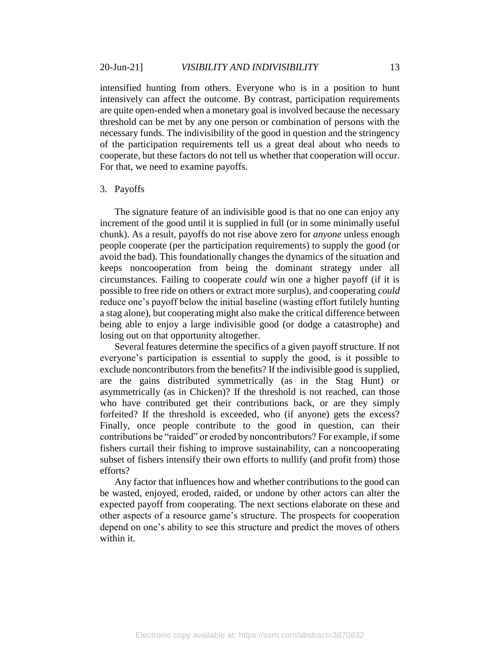intensified hunting from others. Everyone who is in a position to hunt intensively can affect the outcome. By contrast, participation requirements are quite open-ended when a monetary goal is involved because the necessary threshold can be met by any one person or combination of persons with the necessary funds. The indivisibility of the good in question and the stringency of the participation requirements tell us a great deal about who needs to cooperate, but these factors do not tell us whether that cooperation will occur. For that, we need to examine payoffs.

### 3. Payoffs

The signature feature of an indivisible good is that no one can enjoy any increment of the good until it is supplied in full (or in some minimally useful chunk). As a result, payoffs do not rise above zero for *anyone* unless enough people cooperate (per the participation requirements) to supply the good (or avoid the bad). This foundationally changes the dynamics of the situation and keeps noncooperation from being the dominant strategy under all circumstances. Failing to cooperate *could* win one a higher payoff (if it is possible to free ride on others or extract more surplus), and cooperating *could* reduce one's payoff below the initial baseline (wasting effort futilely hunting a stag alone), but cooperating might also make the critical difference between being able to enjoy a large indivisible good (or dodge a catastrophe) and losing out on that opportunity altogether.

Several features determine the specifics of a given payoff structure. If not everyone's participation is essential to supply the good, is it possible to exclude noncontributors from the benefits? If the indivisible good is supplied, are the gains distributed symmetrically (as in the Stag Hunt) or asymmetrically (as in Chicken)? If the threshold is not reached, can those who have contributed get their contributions back, or are they simply forfeited? If the threshold is exceeded, who (if anyone) gets the excess? Finally, once people contribute to the good in question, can their contributions be "raided" or eroded by noncontributors? For example, if some fishers curtail their fishing to improve sustainability, can a noncooperating subset of fishers intensify their own efforts to nullify (and profit from) those efforts?

Any factor that influences how and whether contributions to the good can be wasted, enjoyed, eroded, raided, or undone by other actors can alter the expected payoff from cooperating. The next sections elaborate on these and other aspects of a resource game's structure. The prospects for cooperation depend on one's ability to see this structure and predict the moves of others within it.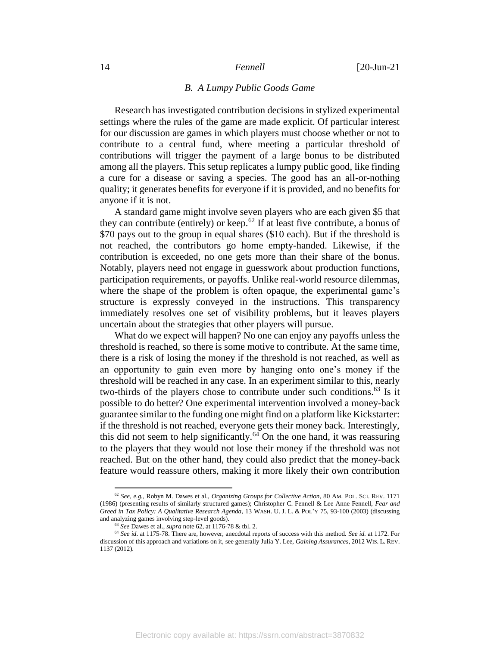### *B. A Lumpy Public Goods Game*

Research has investigated contribution decisions in stylized experimental settings where the rules of the game are made explicit. Of particular interest for our discussion are games in which players must choose whether or not to contribute to a central fund, where meeting a particular threshold of contributions will trigger the payment of a large bonus to be distributed among all the players. This setup replicates a lumpy public good, like finding a cure for a disease or saving a species. The good has an all-or-nothing quality; it generates benefits for everyone if it is provided, and no benefits for anyone if it is not.

<span id="page-14-0"></span>A standard game might involve seven players who are each given \$5 that they can contribute (entirely) or keep.<sup>62</sup> If at least five contribute, a bonus of \$70 pays out to the group in equal shares (\$10 each). But if the threshold is not reached, the contributors go home empty-handed. Likewise, if the contribution is exceeded, no one gets more than their share of the bonus. Notably, players need not engage in guesswork about production functions, participation requirements, or payoffs. Unlike real-world resource dilemmas, where the shape of the problem is often opaque, the experimental game's structure is expressly conveyed in the instructions. This transparency immediately resolves one set of visibility problems, but it leaves players uncertain about the strategies that other players will pursue.

What do we expect will happen? No one can enjoy any payoffs unless the threshold is reached, so there is some motive to contribute. At the same time, there is a risk of losing the money if the threshold is not reached, as well as an opportunity to gain even more by hanging onto one's money if the threshold will be reached in any case. In an experiment similar to this, nearly two-thirds of the players chose to contribute under such conditions. <sup>63</sup> Is it possible to do better? One experimental intervention involved a money-back guarantee similar to the funding one might find on a platform like Kickstarter: if the threshold is not reached, everyone gets their money back. Interestingly, this did not seem to help significantly.<sup>64</sup> On the one hand, it was reassuring to the players that they would not lose their money if the threshold was not reached. But on the other hand, they could also predict that the money-back feature would reassure others, making it more likely their own contribution

<sup>62</sup> *See, e.g.,* Robyn M. Dawes et al., *Organizing Groups for Collective Action*, 80 AM. POL. SCI. REV. 1171 (1986) (presenting results of similarly structured games); Christopher C. Fennell & Lee Anne Fennell, *Fear and Greed in Tax Policy: A Qualitative Research Agenda*, 13 WASH. U. J. L. & POL'Y 75, 93-100 (2003) (discussing and analyzing games involving step-level goods).

<sup>63</sup> *See* Dawes et al., *supra* not[e 62,](#page-14-0) at 1176-78 & tbl. 2.

<sup>64</sup> *See id*. at 1175-78. There are, however, anecdotal reports of success with this method. *See id.* at 1172. For discussion of this approach and variations on it, see generally Julia Y. Lee, *Gaining Assurances*, 2012 WIS. L. REV. 1137 (2012).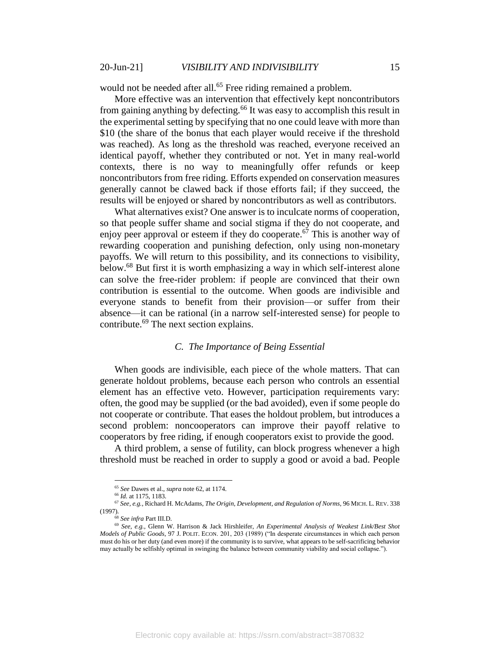would not be needed after all.<sup>65</sup> Free riding remained a problem.

More effective was an intervention that effectively kept noncontributors from gaining anything by defecting.<sup>66</sup> It was easy to accomplish this result in the experimental setting by specifying that no one could leave with more than \$10 (the share of the bonus that each player would receive if the threshold was reached). As long as the threshold was reached, everyone received an identical payoff, whether they contributed or not. Yet in many real-world contexts, there is no way to meaningfully offer refunds or keep noncontributors from free riding. Efforts expended on conservation measures generally cannot be clawed back if those efforts fail; if they succeed, the results will be enjoyed or shared by noncontributors as well as contributors.

What alternatives exist? One answer is to inculcate norms of cooperation, so that people suffer shame and social stigma if they do not cooperate, and enjoy peer approval or esteem if they do cooperate.<sup>67</sup> This is another way of rewarding cooperation and punishing defection, only using non-monetary payoffs. We will return to this possibility, and its connections to visibility, below. <sup>68</sup> But first it is worth emphasizing a way in which self-interest alone can solve the free-rider problem: if people are convinced that their own contribution is essential to the outcome. When goods are indivisible and everyone stands to benefit from their provision—or suffer from their absence—it can be rational (in a narrow self-interested sense) for people to contribute.<sup>69</sup> The next section explains.

# <span id="page-15-0"></span>*C. The Importance of Being Essential*

When goods are indivisible, each piece of the whole matters. That can generate holdout problems, because each person who controls an essential element has an effective veto. However, participation requirements vary: often, the good may be supplied (or the bad avoided), even if some people do not cooperate or contribute. That eases the holdout problem, but introduces a second problem: noncooperators can improve their payoff relative to cooperators by free riding, if enough cooperators exist to provide the good.

A third problem, a sense of futility, can block progress whenever a high threshold must be reached in order to supply a good or avoid a bad. People

<sup>65</sup> *See* Dawes et al., *supra* not[e 62,](#page-14-0) at 1174.

<sup>66</sup> *Id.* at 1175, 1183.

<sup>67</sup> *See, e.g.,* Richard H. McAdams, *The Origin, Development, and Regulation of Norms*, 96 MICH. L. REV. 338 (1997).

<sup>68</sup> *See infra* Part III.D.

<sup>69</sup> *See, e.g.,* Glenn W. Harrison & Jack Hirshleifer, *An Experimental Analysis of Weakest Link/Best Shot Models of Public Goods*, 97 J. POLIT. ECON. 201, 203 (1989) ("In desperate circumstances in which each person must do his or her duty (and even more) if the community is to survive, what appears to be self-sacrificing behavior may actually be selfishly optimal in swinging the balance between community viability and social collapse.").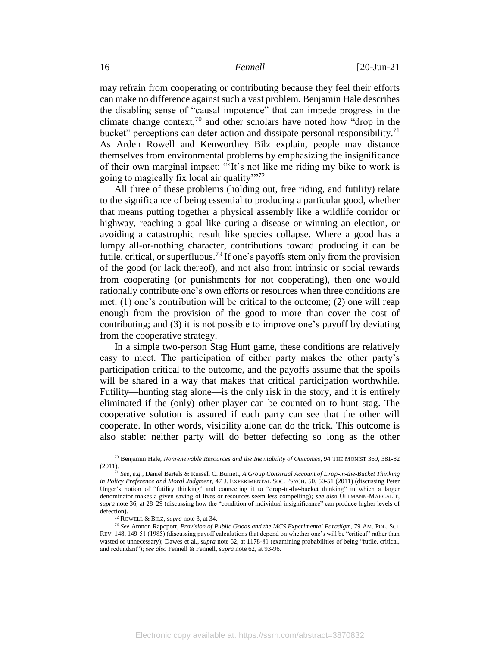<span id="page-16-0"></span>may refrain from cooperating or contributing because they feel their efforts can make no difference against such a vast problem. Benjamin Hale describes the disabling sense of "causal impotence" that can impede progress in the climate change context,<sup>70</sup> and other scholars have noted how "drop in the bucket" perceptions can deter action and dissipate personal responsibility.<sup>71</sup> As Arden Rowell and Kenworthey Bilz explain, people may distance themselves from environmental problems by emphasizing the insignificance of their own marginal impact: "'It's not like me riding my bike to work is going to magically fix local air quality $\frac{1}{12}$ 

All three of these problems (holding out, free riding, and futility) relate to the significance of being essential to producing a particular good, whether that means putting together a physical assembly like a wildlife corridor or highway, reaching a goal like curing a disease or winning an election, or avoiding a catastrophic result like species collapse. Where a good has a lumpy all-or-nothing character, contributions toward producing it can be futile, critical, or superfluous.<sup>73</sup> If one's payoffs stem only from the provision of the good (or lack thereof), and not also from intrinsic or social rewards from cooperating (or punishments for not cooperating), then one would rationally contribute one's own efforts or resources when three conditions are met: (1) one's contribution will be critical to the outcome; (2) one will reap enough from the provision of the good to more than cover the cost of contributing; and (3) it is not possible to improve one's payoff by deviating from the cooperative strategy.

In a simple two-person Stag Hunt game, these conditions are relatively easy to meet. The participation of either party makes the other party's participation critical to the outcome, and the payoffs assume that the spoils will be shared in a way that makes that critical participation worthwhile. Futility—hunting stag alone—is the only risk in the story, and it is entirely eliminated if the (only) other player can be counted on to hunt stag. The cooperative solution is assured if each party can see that the other will cooperate. In other words, visibility alone can do the trick. This outcome is also stable: neither party will do better defecting so long as the other

<sup>70</sup> Benjamin Hale, *Nonrenewable Resources and the Inevitability of Outcomes*, 94 THE MONIST 369, 381-82 (2011).

<sup>71</sup> *See, e.g.,* Daniel Bartels & Russell C. Burnett, *A Group Construal Account of Drop-in-the-Bucket Thinking in Policy Preference and Moral Judgment*, 47 J. EXPERIMENTAL SOC. PSYCH. 50, 50-51 (2011) (discussing Peter Unger's notion of "futility thinking" and connecting it to "drop-in-the-bucket thinking" in which a larger denominator makes a given saving of lives or resources seem less compelling)*; see also* ULLMANN-MARGALIT, *supra* note [36,](#page-8-4) at 28–29 (discussing how the "condition of individual insignificance" can produce higher levels of defection).

<sup>72</sup> ROWELL & BILZ, *supra* not[e 3,](#page-2-4) at 34.

<sup>73</sup> *See* Amnon Rapoport, *Provision of Public Goods and the MCS Experimental Paradigm*, 79 AM. POL. SCI. REV. 148, 149-51 (1985) (discussing payoff calculations that depend on whether one's will be "critical" rather than wasted or unnecessary); Dawes et al., *supra* not[e 62,](#page-14-0) at 1178-81 (examining probabilities of being "futile, critical, and redundant"); *see also* Fennell & Fennell, *supra* not[e 62,](#page-14-0) at 93-96.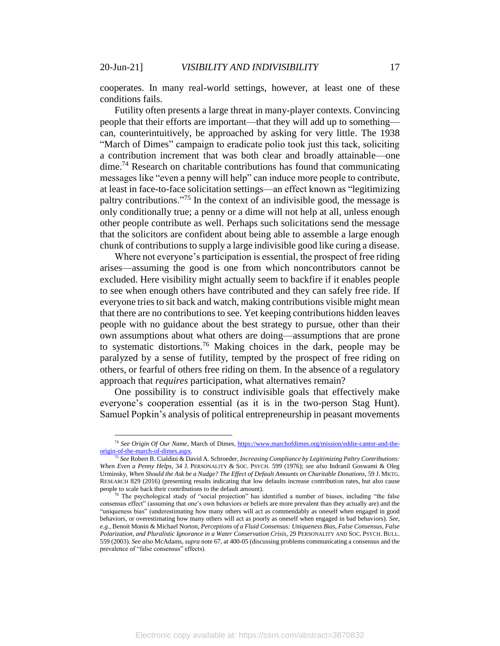cooperates. In many real-world settings, however, at least one of these conditions fails.

Futility often presents a large threat in many-player contexts. Convincing people that their efforts are important—that they will add up to something can, counterintuitively, be approached by asking for very little. The 1938 "March of Dimes" campaign to eradicate polio took just this tack, soliciting a contribution increment that was both clear and broadly attainable—one  $\dim e^{74}$  Research on charitable contributions has found that communicating messages like "even a penny will help" can induce more people to contribute, at least in face-to-face solicitation settings—an effect known as "legitimizing paltry contributions."<sup>75</sup> In the context of an indivisible good, the message is only conditionally true; a penny or a dime will not help at all, unless enough other people contribute as well. Perhaps such solicitations send the message that the solicitors are confident about being able to assemble a large enough chunk of contributions to supply a large indivisible good like curing a disease.

Where not everyone's participation is essential, the prospect of free riding arises—assuming the good is one from which noncontributors cannot be excluded. Here visibility might actually seem to backfire if it enables people to see when enough others have contributed and they can safely free ride. If everyone tries to sit back and watch, making contributions visible might mean that there are no contributions to see. Yet keeping contributions hidden leaves people with no guidance about the best strategy to pursue, other than their own assumptions about what others are doing—assumptions that are prone to systematic distortions.<sup>76</sup> Making choices in the dark, people may be paralyzed by a sense of futility, tempted by the prospect of free riding on others, or fearful of others free riding on them. In the absence of a regulatory approach that *requires* participation, what alternatives remain?

<span id="page-17-0"></span>One possibility is to construct indivisible goals that effectively make everyone's cooperation essential (as it is in the two-person Stag Hunt). Samuel Popkin's analysis of political entrepreneurship in peasant movements

<sup>74</sup> *See Origin Of Our Name,* March of Dimes, [https://www.marchofdimes.org/mission/eddie-cantor-and-the](https://www.marchofdimes.org/mission/eddie-cantor-and-the-origin-of-the-march-of-dimes.aspx)[origin-of-the-march-of-dimes.aspx.](https://www.marchofdimes.org/mission/eddie-cantor-and-the-origin-of-the-march-of-dimes.aspx)

<sup>75</sup> *See* Robert B. Cialdini & David A. Schroeder, *Increasing Compliance by Legitimizing Paltry Contributions: When Even a Penny Helps*, 34 J. PERSONALITY & SOC. PSYCH. 599 (1976); *see also* Indranil Goswami & Oleg Urminsky, *When Should the Ask be a Nudge? The Effect of Default Amounts on Charitable Donations*, 59 J. MKTG. RESEARCH 829 (2016) (presenting results indicating that low defaults increase contribution rates, but also cause people to scale back their contributions to the default amount).

<sup>76</sup> The psychological study of "social projection" has identified a number of biases, including "the false consensus effect" (assuming that one's own behaviors or beliefs are more prevalent than they actually are) and the "uniqueness bias" (underestimating how many others will act as commendably as oneself when engaged in good behaviors, or overestimating how many others will act as poorly as oneself when engaged in bad behaviors). *See, e.g.,* Benoit Monin & Michael Norton, *Perceptions of a Fluid Consensus: Uniqueness Bias, False Consensus, False Polarization, and Pluralistic Ignorance in a Water Conservation Crisis*, 29 PERSONALITY AND SOC. PSYCH. BULL. 559 (2003). *See also* McAdams, *supra* not[e 67,](#page-15-0) at 400-05 (discussing problems communicating a consensus and the prevalence of "false consensus" effects).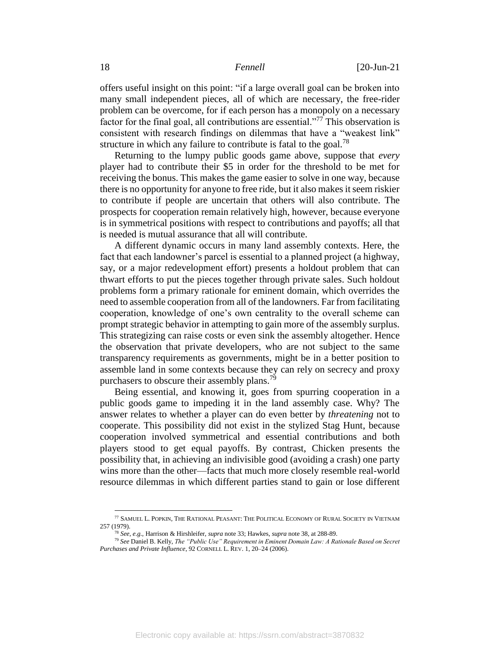offers useful insight on this point: "if a large overall goal can be broken into many small independent pieces, all of which are necessary, the free-rider problem can be overcome, for if each person has a monopoly on a necessary factor for the final goal, all contributions are essential."<sup>77</sup> This observation is consistent with research findings on dilemmas that have a "weakest link" structure in which any failure to contribute is fatal to the goal.<sup>78</sup>

Returning to the lumpy public goods game above, suppose that *every* player had to contribute their \$5 in order for the threshold to be met for receiving the bonus. This makes the game easier to solve in one way, because there is no opportunity for anyone to free ride, but it also makes it seem riskier to contribute if people are uncertain that others will also contribute. The prospects for cooperation remain relatively high, however, because everyone is in symmetrical positions with respect to contributions and payoffs; all that is needed is mutual assurance that all will contribute.

A different dynamic occurs in many land assembly contexts. Here, the fact that each landowner's parcel is essential to a planned project (a highway, say, or a major redevelopment effort) presents a holdout problem that can thwart efforts to put the pieces together through private sales. Such holdout problems form a primary rationale for eminent domain, which overrides the need to assemble cooperation from all of the landowners. Far from facilitating cooperation, knowledge of one's own centrality to the overall scheme can prompt strategic behavior in attempting to gain more of the assembly surplus. This strategizing can raise costs or even sink the assembly altogether. Hence the observation that private developers, who are not subject to the same transparency requirements as governments, might be in a better position to assemble land in some contexts because they can rely on secrecy and proxy purchasers to obscure their assembly plans.<sup>79</sup>

Being essential, and knowing it, goes from spurring cooperation in a public goods game to impeding it in the land assembly case. Why? The answer relates to whether a player can do even better by *threatening* not to cooperate. This possibility did not exist in the stylized Stag Hunt, because cooperation involved symmetrical and essential contributions and both players stood to get equal payoffs. By contrast, Chicken presents the possibility that, in achieving an indivisible good (avoiding a crash) one party wins more than the other—facts that much more closely resemble real-world resource dilemmas in which different parties stand to gain or lose different

<sup>77</sup> SAMUEL L. POPKIN, THE RATIONAL PEASANT: THE POLITICAL ECONOMY OF RURAL SOCIETY IN VIETNAM 257 (1979).

<sup>78</sup> *See, e.g.,* Harrison & Hirshleifer, *supra* not[e 33;](#page-8-0) Hawkes, *supra* not[e 38,](#page-8-2) at 288-89.

<sup>79</sup> *See* Daniel B. Kelly, *The "Public Use" Requirement in Eminent Domain Law: A Rationale Based on Secret Purchases and Private Influence*, 92 CORNELL L. REV. 1, 20–24 (2006).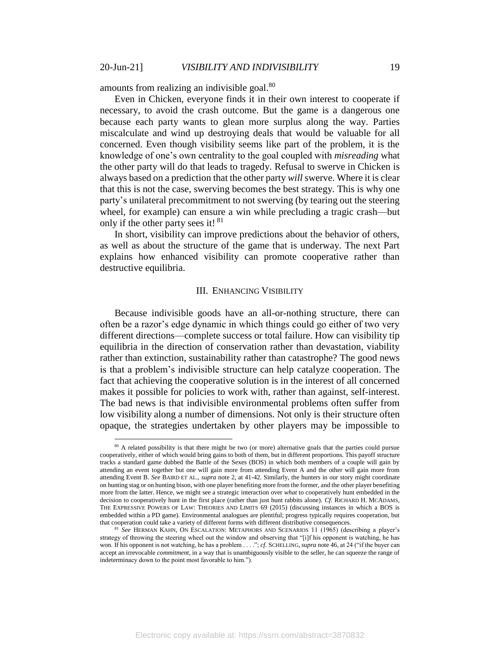<span id="page-19-0"></span>amounts from realizing an indivisible goal.<sup>80</sup>

 $\overline{a}$ 

Even in Chicken, everyone finds it in their own interest to cooperate if necessary, to avoid the crash outcome. But the game is a dangerous one because each party wants to glean more surplus along the way. Parties miscalculate and wind up destroying deals that would be valuable for all concerned. Even though visibility seems like part of the problem, it is the knowledge of one's own centrality to the goal coupled with *misreading* what the other party will do that leads to tragedy. Refusal to swerve in Chicken is always based on a prediction that the other party *will* swerve. Where it is clear that this is not the case, swerving becomes the best strategy. This is why one party's unilateral precommitment to not swerving (by tearing out the steering wheel, for example) can ensure a win while precluding a tragic crash—but only if the other party sees it! <sup>81</sup>

In short, visibility can improve predictions about the behavior of others, as well as about the structure of the game that is underway. The next Part explains how enhanced visibility can promote cooperative rather than destructive equilibria.

### III. ENHANCING VISIBILITY

Because indivisible goods have an all-or-nothing structure, there can often be a razor's edge dynamic in which things could go either of two very different directions—complete success or total failure. How can visibility tip equilibria in the direction of conservation rather than devastation, viability rather than extinction, sustainability rather than catastrophe? The good news is that a problem's indivisible structure can help catalyze cooperation. The fact that achieving the cooperative solution is in the interest of all concerned makes it possible for policies to work with, rather than against, self-interest. The bad news is that indivisible environmental problems often suffer from low visibility along a number of dimensions. Not only is their structure often opaque, the strategies undertaken by other players may be impossible to

<sup>&</sup>lt;sup>80</sup> A related possibility is that there might be two (or more) alternative goals that the parties could pursue cooperatively, either of which would bring gains to both of them, but in different proportions. This payoff structure tracks a standard game dubbed the Battle of the Sexes (BOS) in which both members of a couple will gain by attending an event together but one will gain more from attending Event A and the other will gain more from attending Event B. *See* BAIRD ET AL., *supra* not[e 2,](#page-2-2) at 41-42. Similarly, the hunters in our story might coordinate on hunting stag or on hunting bison, with one player benefiting more from the former, and the other player benefiting more from the latter. Hence, we might see a strategic interaction over *what* to cooperatively hunt embedded in the decision to cooperatively hunt in the first place (rather than just hunt rabbits alone). *Cf.* RICHARD H. MCADAMS, THE EXPRESSIVE POWERS OF LAW: THEORIES AND LIMITS 69 (2015) (discussing instances in which a BOS is embedded within a PD game). Environmental analogues are plentiful; progress typically requires cooperation, but that cooperation could take a variety of different forms with different distributive consequences.

<sup>81</sup> *See* HERMAN KAHN, ON ESCALATION: METAPHORS AND SCENARIOS 11 (1965) (describing a player's strategy of throwing the steering wheel out the window and observing that "[i]f his opponent is watching, he has won. If his opponent is not watching, he has a problem . . . ."; *cf.* SCHELLING, *supra* not[e 46,](#page-10-0) at 24 ("if the buyer can accept an irrevocable *commitment*, in a way that is unambiguously visible to the seller, he can squeeze the range of indeterminacy down to the point most favorable to him.").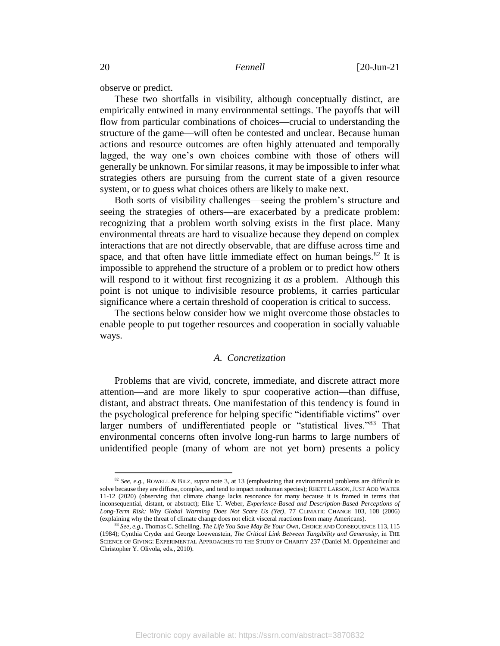observe or predict.

These two shortfalls in visibility, although conceptually distinct, are empirically entwined in many environmental settings. The payoffs that will flow from particular combinations of choices—crucial to understanding the structure of the game—will often be contested and unclear. Because human actions and resource outcomes are often highly attenuated and temporally lagged, the way one's own choices combine with those of others will generally be unknown. For similar reasons, it may be impossible to infer what strategies others are pursuing from the current state of a given resource system, or to guess what choices others are likely to make next.

Both sorts of visibility challenges—seeing the problem's structure and seeing the strategies of others—are exacerbated by a predicate problem: recognizing that a problem worth solving exists in the first place. Many environmental threats are hard to visualize because they depend on complex interactions that are not directly observable, that are diffuse across time and space, and that often have little immediate effect on human beings.<sup>82</sup> It is impossible to apprehend the structure of a problem or to predict how others will respond to it without first recognizing it *as* a problem. Although this point is not unique to indivisible resource problems, it carries particular significance where a certain threshold of cooperation is critical to success.

The sections below consider how we might overcome those obstacles to enable people to put together resources and cooperation in socially valuable ways.

# <span id="page-20-0"></span>*A. Concretization*

Problems that are vivid, concrete, immediate, and discrete attract more attention—and are more likely to spur cooperative action—than diffuse, distant, and abstract threats. One manifestation of this tendency is found in the psychological preference for helping specific "identifiable victims" over larger numbers of undifferentiated people or "statistical lives."<sup>83</sup> That environmental concerns often involve long-run harms to large numbers of unidentified people (many of whom are not yet born) presents a policy

<sup>82</sup> *See, e.g.*, ROWELL & BILZ, *supra* not[e 3,](#page-2-4) at 13 (emphasizing that environmental problems are difficult to solve because they are diffuse, complex, and tend to impact nonhuman species); RHETT LARSON,JUST ADD WATER 11-12 (2020) (observing that climate change lacks resonance for many because it is framed in terms that inconsequential, distant, or abstract); Elke U. Weber, *Experience-Based and Description-Based Perceptions of Long-Term Risk: Why Global Warming Does Not Scare Us (Yet)*, 77 CLIMATIC CHANGE 103, 108 (2006) (explaining why the threat of climate change does not elicit visceral reactions from many Americans).

<sup>83</sup> *See, e.g.*, Thomas C. Schelling, *The Life You Save May Be Your Own*, CHOICE AND CONSEQUENCE 113, 115 (1984); Cynthia Cryder and George Loewenstein, *The Critical Link Between Tangibility and Generosity*, in THE SCIENCE OF GIVING: EXPERIMENTAL APPROACHES TO THE STUDY OF CHARITY 237 (Daniel M. Oppenheimer and Christopher Y. Olivola, eds., 2010).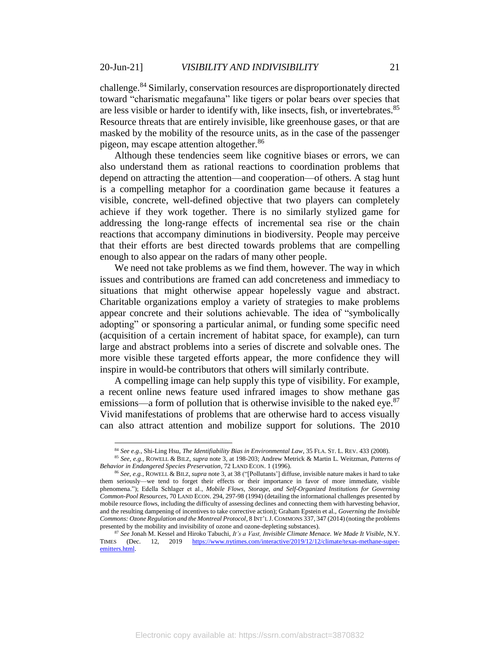challenge. <sup>84</sup> Similarly, conservation resources are disproportionately directed toward "charismatic megafauna" like tigers or polar bears over species that are less visible or harder to identify with, like insects, fish, or invertebrates.<sup>85</sup> Resource threats that are entirely invisible, like greenhouse gases, or that are masked by the mobility of the resource units, as in the case of the passenger pigeon, may escape attention altogether.<sup>86</sup>

Although these tendencies seem like cognitive biases or errors, we can also understand them as rational reactions to coordination problems that depend on attracting the attention—and cooperation—of others. A stag hunt is a compelling metaphor for a coordination game because it features a visible, concrete, well-defined objective that two players can completely achieve if they work together. There is no similarly stylized game for addressing the long-range effects of incremental sea rise or the chain reactions that accompany diminutions in biodiversity. People may perceive that their efforts are best directed towards problems that are compelling enough to also appear on the radars of many other people.

We need not take problems as we find them, however. The way in which issues and contributions are framed can add concreteness and immediacy to situations that might otherwise appear hopelessly vague and abstract. Charitable organizations employ a variety of strategies to make problems appear concrete and their solutions achievable. The idea of "symbolically adopting" or sponsoring a particular animal, or funding some specific need (acquisition of a certain increment of habitat space, for example), can turn large and abstract problems into a series of discrete and solvable ones. The more visible these targeted efforts appear, the more confidence they will inspire in would-be contributors that others will similarly contribute.

A compelling image can help supply this type of visibility. For example, a recent online news feature used infrared images to show methane gas emissions—a form of pollution that is otherwise invisible to the naked eye.<sup>87</sup> Vivid manifestations of problems that are otherwise hard to access visually can also attract attention and mobilize support for solutions. The 2010

<sup>84</sup> *See e.g.*, Shi-Ling Hsu, *The Identifiability Bias in Environmental Law*, 35 FLA. ST. L. REV. 433 (2008).

<sup>85</sup> *See, e.g.*, ROWELL & BILZ, *supra* not[e 3,](#page-2-4) at 198-203; Andrew Metrick & Martin L. Weitzman, *Patterns of Behavior in Endangered Species Preservation*, 72 LAND ECON. 1 (1996).

<sup>86</sup> *See, e.g.*, ROWELL & BILZ, *supra* note [3,](#page-2-4) at 38 ("[Pollutants'] diffuse, invisible nature makes it hard to take them seriously—we tend to forget their effects or their importance in favor of more immediate, visible phenomena."); Edella Schlager et al., *Mobile Flows, Storage, and Self-Organized Institutions for Governing Common-Pool Resources*, 70 LAND ECON. 294, 297-98 (1994) (detailing the informational challenges presented by mobile resource flows, including the difficulty of assessing declines and connecting them with harvesting behavior, and the resulting dampening of incentives to take corrective action); Graham Epstein et al., *Governing the Invisible Commons: Ozone Regulation and the Montreal Protocol*, 8 INT'L J. COMMONS 337, 347 (2014) (noting the problems presented by the mobility and invisibility of ozone and ozone-depleting substances).

<sup>87</sup> *See* Jonah M. Kessel and Hiroko Tabuchi, *It's a Vast, Invisible Climate Menace. We Made It Visible*, N.Y. TIMES (Dec. 12, 2019 [https://www.nytimes.com/interactive/2019/12/12/climate/texas-methane-super](https://www.nytimes.com/interactive/2019/12/12/climate/texas-methane-super-emitters.html)[emitters.html.](https://www.nytimes.com/interactive/2019/12/12/climate/texas-methane-super-emitters.html)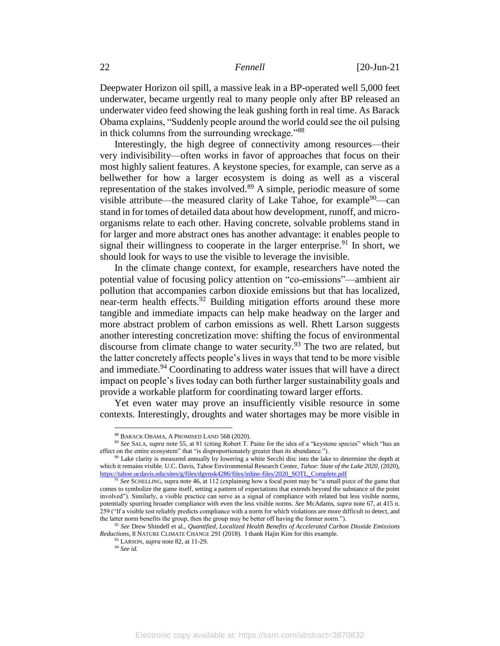Deepwater Horizon oil spill, a massive leak in a BP-operated well 5,000 feet underwater, became urgently real to many people only after BP released an underwater video feed showing the leak gushing forth in real time. As Barack Obama explains, "Suddenly people around the world could see the oil pulsing in thick columns from the surrounding wreckage."88

Interestingly, the high degree of connectivity among resources—their very indivisibility—often works in favor of approaches that focus on their most highly salient features. A keystone species, for example, can serve as a bellwether for how a larger ecosystem is doing as well as a visceral representation of the stakes involved.<sup>89</sup> A simple, periodic measure of some visible attribute—the measured clarity of Lake Tahoe, for example $90$ —can stand in for tomes of detailed data about how development, runoff, and microorganisms relate to each other. Having concrete, solvable problems stand in for larger and more abstract ones has another advantage: it enables people to signal their willingness to cooperate in the larger enterprise.<sup>91</sup> In short, we should look for ways to use the visible to leverage the invisible.

<span id="page-22-0"></span>In the climate change context, for example, researchers have noted the potential value of focusing policy attention on "co-emissions"—ambient air pollution that accompanies carbon dioxide emissions but that has localized, near-term health effects.<sup>92</sup> Building mitigation efforts around these more tangible and immediate impacts can help make headway on the larger and more abstract problem of carbon emissions as well. Rhett Larson suggests another interesting concretization move: shifting the focus of environmental discourse from climate change to water security.<sup>93</sup> The two are related, but the latter concretely affects people's lives in ways that tend to be more visible and immediate.<sup>94</sup> Coordinating to address water issues that will have a direct impact on people's lives today can both further larger sustainability goals and provide a workable platform for coordinating toward larger efforts.

Yet even water may prove an insufficiently visible resource in some contexts. Interestingly, droughts and water shortages may be more visible in

<sup>88</sup> BARACK OBAMA, A PROMISED LAND 568 (2020).

<sup>89</sup> *See* SALA, *supra* not[e 55,](#page-11-0) at 81 (citing Robert T. Paine for the idea of a "keystone species" which "has an effect on the entire ecosystem" that "is disproportionately greater than its abundance.").

<sup>&</sup>lt;sup>90</sup> Lake clarity is measured annually by lowering a white Secchi disc into the lake to determine the depth at which it remains visible. U.C. Davis, Tahoe Environmental Research Center, *Tahoe: State of the Lake 2020*, (2020), [https://tahoe.ucdavis.edu/sites/g/files/dgvnsk4286/files/inline-files/2020\\_SOTL\\_Complete.pdf](https://tahoe.ucdavis.edu/sites/g/files/dgvnsk4286/files/inline-files/2020_SOTL_Complete.pdf)

<sup>&</sup>lt;sup>91</sup> See SCHELLING, supra not[e 46,](#page-10-0) at 112 (explaining how a focal point may be "a small piece of the game that comes to symbolize the game itself, setting a pattern of expectations that extends beyond the substance of the point involved"). Similarly, a visible practice can serve as a signal of compliance with related but less visible norms, potentially spurring broader compliance with even the less visible norms. *See* McAdams, *supra* not[e 67,](#page-15-0) at 415 n. 259 ("If a visible test reliably predicts compliance with a norm for which violations are more difficult to detect, and the latter norm benefits the group, then the group may be better off having the former norm.").

<sup>92</sup> *See* Drew Shindell et al., *Quantified, Localized Health Benefits of Accelerated Carbon Dioxide Emissions Reductions*, 8 NATURE CLIMATE CHANGE 291 (2018). I thank Hajin Kim for this example.

<sup>93</sup> LARSON, *supra* not[e 82,](#page-20-0) at 11-29.

<sup>94</sup> *See id.*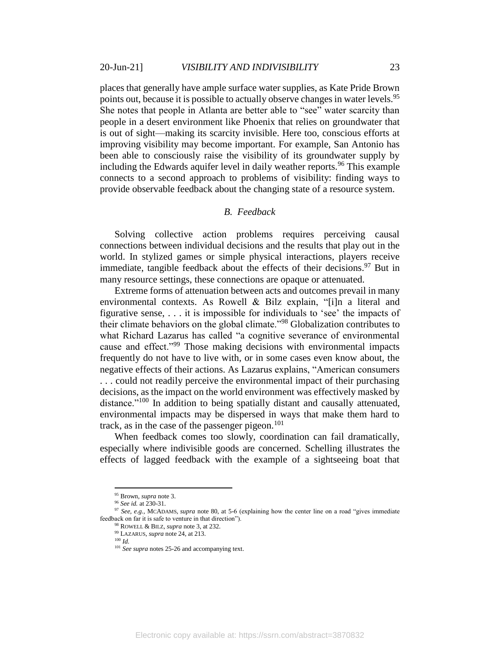places that generally have ample surface water supplies, as Kate Pride Brown points out, because it is possible to actually observe changes in water levels.<sup>95</sup> She notes that people in Atlanta are better able to "see" water scarcity than people in a desert environment like Phoenix that relies on groundwater that is out of sight—making its scarcity invisible. Here too, conscious efforts at improving visibility may become important. For example, San Antonio has been able to consciously raise the visibility of its groundwater supply by including the Edwards aquifer level in daily weather reports.<sup>96</sup> This example connects to a second approach to problems of visibility: finding ways to provide observable feedback about the changing state of a resource system.

## *B. Feedback*

Solving collective action problems requires perceiving causal connections between individual decisions and the results that play out in the world. In stylized games or simple physical interactions, players receive immediate, tangible feedback about the effects of their decisions.<sup>97</sup> But in many resource settings, these connections are opaque or attenuated.

Extreme forms of attenuation between acts and outcomes prevail in many environmental contexts. As Rowell & Bilz explain, "[i]n a literal and figurative sense, . . . it is impossible for individuals to 'see' the impacts of their climate behaviors on the global climate."<sup>98</sup> Globalization contributes to what Richard Lazarus has called "a cognitive severance of environmental cause and effect."<sup>99</sup> Those making decisions with environmental impacts frequently do not have to live with, or in some cases even know about, the negative effects of their actions. As Lazarus explains, "American consumers . . . could not readily perceive the environmental impact of their purchasing decisions, as the impact on the world environment was effectively masked by distance."<sup>100</sup> In addition to being spatially distant and causally attenuated, environmental impacts may be dispersed in ways that make them hard to track, as in the case of the passenger pigeon. $101$ 

When feedback comes too slowly, coordination can fail dramatically, especially where indivisible goods are concerned. Schelling illustrates the effects of lagged feedback with the example of a sightseeing boat that

<sup>95</sup> Brown*, supra* not[e 3.](#page-2-4)

<sup>96</sup> *See id.* at 230-31.

<sup>97</sup> *See, e.g.,* MCADAMS, *supra* note [80,](#page-19-0) at 5-6 (explaining how the center line on a road "gives immediate feedback on far it is safe to venture in that direction").

<sup>98</sup> ROWELL & BILZ, *supra* not[e 3,](#page-2-4) at 232.

<sup>99</sup> LAZARUS, *supra* not[e 24,](#page-6-0) at 213.

<sup>100</sup> *Id.*

<sup>&</sup>lt;sup>101</sup> See supra note[s 25](#page-6-1)[-26](#page-6-2) and accompanying text.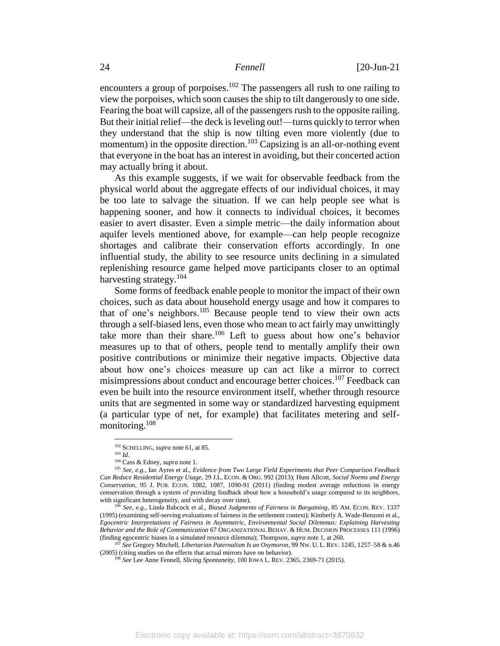encounters a group of porpoises.<sup>102</sup> The passengers all rush to one railing to view the porpoises, which soon causes the ship to tilt dangerously to one side. Fearing the boat will capsize, all of the passengers rush to the opposite railing. But their initial relief—the deck is leveling out!—turns quickly to terror when they understand that the ship is now tilting even more violently (due to momentum) in the opposite direction.<sup>103</sup> Capsizing is an all-or-nothing event that everyone in the boat has an interest in avoiding, but their concerted action may actually bring it about.

As this example suggests, if we wait for observable feedback from the physical world about the aggregate effects of our individual choices, it may be too late to salvage the situation. If we can help people see what is happening sooner, and how it connects to individual choices, it becomes easier to avert disaster. Even a simple metric—the daily information about aquifer levels mentioned above, for example—can help people recognize shortages and calibrate their conservation efforts accordingly. In one influential study, the ability to see resource units declining in a simulated replenishing resource game helped move participants closer to an optimal harvesting strategy.<sup>104</sup>

<span id="page-24-0"></span>Some forms of feedback enable people to monitor the impact of their own choices, such as data about household energy usage and how it compares to that of one's neighbors.<sup>105</sup> Because people tend to view their own acts through a self-biased lens, even those who mean to act fairly may unwittingly take more than their share.<sup>106</sup> Left to guess about how one's behavior measures up to that of others, people tend to mentally amplify their own positive contributions or minimize their negative impacts. Objective data about how one's choices measure up can act like a mirror to correct misimpressions about conduct and encourage better choices.<sup>107</sup> Feedback can even be built into the resource environment itself, whether through resource units that are segmented in some way or standardized harvesting equipment (a particular type of net, for example) that facilitates metering and selfmonitoring. 108

<sup>102</sup> SCHELLING, *supra* not[e 61,](#page-12-0) at 85.

<sup>103</sup> *Id.*

<sup>104</sup> Cass & Edney, *supra* not[e 1.](#page-1-0)

<sup>105</sup> *See, e.g.,* Ian Ayres et al., *Evidence from Two Large Field Experiments that Peer Comparison Feedback Can Reduce Residential Energy Usage*, 29 J.L. ECON. & ORG. 992 (2013); Hunt Allcott, *Social Norms and Energy Conservation*, 95 J. PUB. ECON. 1082, 1087, 1090-91 (2011) (finding modest average reductions in energy conservation through a system of providing feedback about how a household's usage compared to its neighbors, with significant heterogeneity, and with decay over time).

<sup>106</sup> *See, e.g.,* Linda Babcock et al., *Biased Judgments of Fairness in Bargaining*, 85 AM. ECON. REV. 1337 (1995) (examining self-serving evaluations of fairness in the settlement context); Kimberly A. Wade-Benzoni et al., *Egocentric Interpretations of Fairness in Asymmetric, Environmental Social Dilemmas: Explaining Harvesting Behavior and the Role of Communication* 67 ORGANIZATIONAL BEHAV. & HUM. DECISION PROCESSES 111 (1996) (finding egocentric biases in a simulated resource dilemma); Thompson, *supra* not[e 1,](#page-1-0) at 260.

<sup>107</sup> *See* Gregory Mitchell, *Libertarian Paternalism Is an Oxymoron*, 99 NW. U. L. REV. 1245, 1257–58 & n.46 (2005) (citing studies on the effects that actual mirrors have on behavior).

<sup>108</sup> *See* Lee Anne Fennell, *Slicing Spontaneity*, 100 IOWA L. REV. 2365, 2369-71 (2015).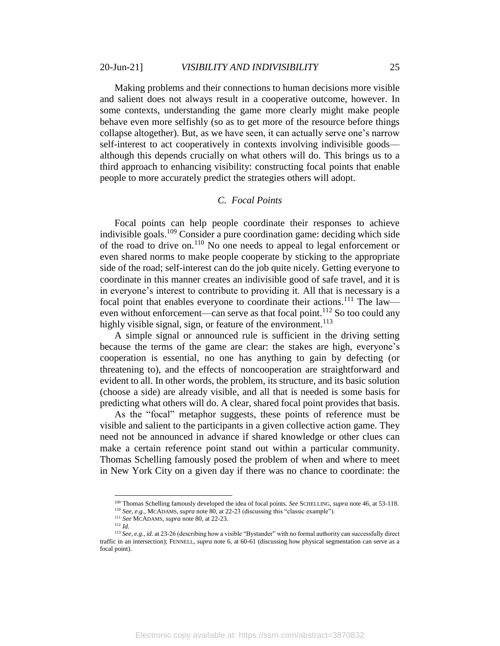Making problems and their connections to human decisions more visible and salient does not always result in a cooperative outcome, however. In some contexts, understanding the game more clearly might make people behave even more selfishly (so as to get more of the resource before things collapse altogether). But, as we have seen, it can actually serve one's narrow self-interest to act cooperatively in contexts involving indivisible goods although this depends crucially on what others will do. This brings us to a third approach to enhancing visibility: constructing focal points that enable people to more accurately predict the strategies others will adopt.

### *C. Focal Points*

Focal points can help people coordinate their responses to achieve indivisible goals. <sup>109</sup> Consider a pure coordination game: deciding which side of the road to drive on.<sup>110</sup> No one needs to appeal to legal enforcement or even shared norms to make people cooperate by sticking to the appropriate side of the road; self-interest can do the job quite nicely. Getting everyone to coordinate in this manner creates an indivisible good of safe travel, and it is in everyone's interest to contribute to providing it. All that is necessary is a focal point that enables everyone to coordinate their actions.<sup>111</sup> The law even without enforcement—can serve as that focal point.<sup>112</sup> So too could any highly visible signal, sign, or feature of the environment.<sup>113</sup>

A simple signal or announced rule is sufficient in the driving setting because the terms of the game are clear: the stakes are high, everyone's cooperation is essential, no one has anything to gain by defecting (or threatening to), and the effects of noncooperation are straightforward and evident to all. In other words, the problem, its structure, and its basic solution (choose a side) are already visible, and all that is needed is some basis for predicting what others will do. A clear, shared focal point provides that basis.

As the "focal" metaphor suggests, these points of reference must be visible and salient to the participants in a given collective action game. They need not be announced in advance if shared knowledge or other clues can make a certain reference point stand out within a particular community. Thomas Schelling famously posed the problem of when and where to meet in New York City on a given day if there was no chance to coordinate: the

<sup>109</sup> Thomas Schelling famously developed the idea of focal points. *See* SCHELLING, *supra* not[e 46,](#page-10-0) at 53-118.

<sup>110</sup> *See, e.g.*, MCADAMS, *supra* not[e 80,](#page-19-0) at 22-23 (discussing this "classic example").

<sup>111</sup> *See* MCADAMS, *supra* not[e 80,](#page-19-0) at 22-23. <sup>112</sup> *Id.*

<sup>113</sup> *See, e.g., id.* at 23-26 (describing how a visible "Bystander" with no formal authority can successfully direct traffic in an intersection); FENNELL, *supra* not[e 6,](#page-2-1) at 60-61 (discussing how physical segmentation can serve as a focal point).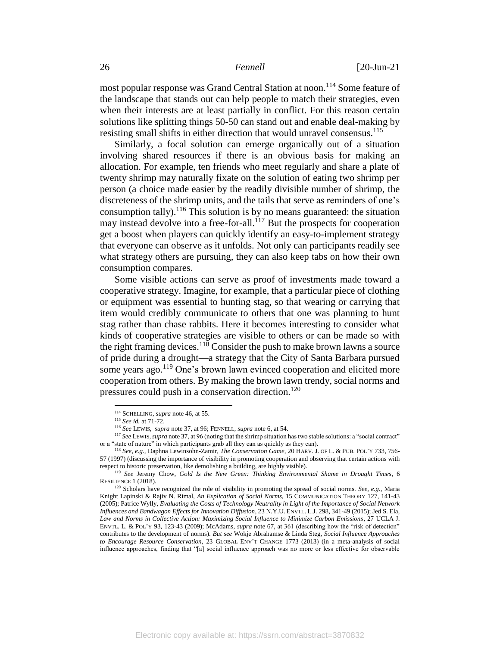most popular response was Grand Central Station at noon. <sup>114</sup> Some feature of the landscape that stands out can help people to match their strategies, even when their interests are at least partially in conflict. For this reason certain solutions like splitting things 50-50 can stand out and enable deal-making by resisting small shifts in either direction that would unravel consensus.<sup>115</sup>

Similarly, a focal solution can emerge organically out of a situation involving shared resources if there is an obvious basis for making an allocation. For example, ten friends who meet regularly and share a plate of twenty shrimp may naturally fixate on the solution of eating two shrimp per person (a choice made easier by the readily divisible number of shrimp, the discreteness of the shrimp units, and the tails that serve as reminders of one's consumption tally).<sup>116</sup> This solution is by no means guaranteed: the situation may instead devolve into a free-for-all.<sup>117</sup> But the prospects for cooperation get a boost when players can quickly identify an easy-to-implement strategy that everyone can observe as it unfolds. Not only can participants readily see what strategy others are pursuing, they can also keep tabs on how their own consumption compares.

Some visible actions can serve as proof of investments made toward a cooperative strategy. Imagine, for example, that a particular piece of clothing or equipment was essential to hunting stag, so that wearing or carrying that item would credibly communicate to others that one was planning to hunt stag rather than chase rabbits. Here it becomes interesting to consider what kinds of cooperative strategies are visible to others or can be made so with the right framing devices.<sup>118</sup> Consider the push to make brown lawns a source of pride during a drought—a strategy that the City of Santa Barbara pursued some years ago.<sup>119</sup> One's brown lawn evinced cooperation and elicited more cooperation from others. By making the brown lawn trendy, social norms and pressures could push in a conservation direction.<sup>120</sup>

<span id="page-26-0"></span><sup>114</sup> SCHELLING, *supra* not[e 46,](#page-10-0) at 55.

<sup>115</sup> *See id.* at 71-72.

<sup>116</sup> *See* LEWIS, *supra* not[e 37,](#page-8-1) at 96; FENNELL, *supra* not[e 6,](#page-2-1) at 54.

<sup>117</sup> *See* LEWIS, *supra* not[e 37,](#page-8-1) at 96 (noting that the shrimp situation has two stable solutions: a "social contract" or a "state of nature" in which participants grab all they can as quickly as they can).

<sup>118</sup> *See, e.g.,* Daphna Lewinsohn-Zamir, *The Conservation Game*, 20 HARV. J. OF L. & PUB. POL'Y 733, 756- 57 (1997) (discussing the importance of visibility in promoting cooperation and observing that certain actions with respect to historic preservation, like demolishing a building, are highly visible).

<sup>119</sup> *See* Jeremy Chow, *Gold Is the New Green: Thinking Environmental Shame in Drought Times*, 6 RESILIENCE 1 (2018).

<sup>&</sup>lt;sup>120</sup> Scholars have recognized the role of visibility in promoting the spread of social norms. *See, e.g.,* Maria Knight Lapinski & Rajiv N. Rimal, *An Explication of Social Norms,* 15 COMMUNICATION THEORY 127, 141-43 (2005); Patrice Wylly, *Evaluating the Costs of Technology Neutrality in Light of the Importance of Social Network Influences and Bandwagon Effects for Innovation Diffusion*, 23 N.Y.U. ENVTL. L.J. 298, 341-49 (2015); Jed S. Ela, *Law and Norms in Collective Action: Maximizing Social Influence to Minimize Carbon Emissions*, 27 UCLA J. ENVTL. L. & POL'Y 93, 123-43 (2009); McAdams, *supra* note [67,](#page-15-0) at 361 (describing how the "risk of detection" contributes to the development of norms). *But see* Wokje Abrahamse & Linda Steg, *Social Influence Approaches to Encourage Resource Conservation*, 23 GLOBAL ENV'T CHANGE 1773 (2013) (in a meta-analysis of social influence approaches, finding that "[a] social influence approach was no more or less effective for observable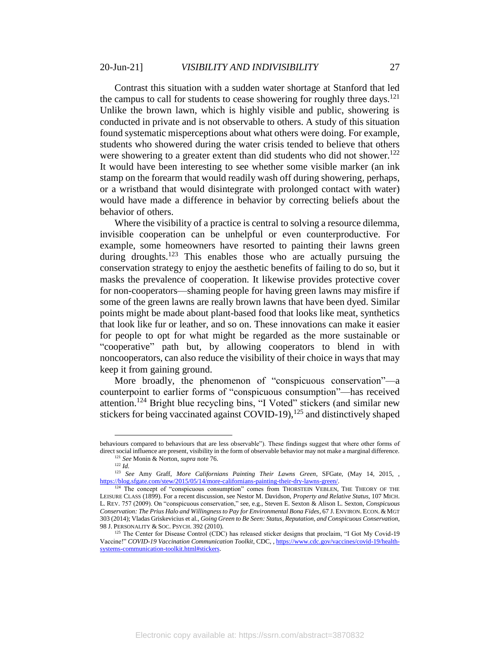Contrast this situation with a sudden water shortage at Stanford that led the campus to call for students to cease showering for roughly three days. $^{121}$ Unlike the brown lawn, which is highly visible and public, showering is conducted in private and is not observable to others. A study of this situation found systematic misperceptions about what others were doing. For example, students who showered during the water crisis tended to believe that others were showering to a greater extent than did students who did not shower.<sup>122</sup> It would have been interesting to see whether some visible marker (an ink stamp on the forearm that would readily wash off during showering, perhaps, or a wristband that would disintegrate with prolonged contact with water) would have made a difference in behavior by correcting beliefs about the behavior of others.

Where the visibility of a practice is central to solving a resource dilemma, invisible cooperation can be unhelpful or even counterproductive. For example, some homeowners have resorted to painting their lawns green during droughts.<sup>123</sup> This enables those who are actually pursuing the conservation strategy to enjoy the aesthetic benefits of failing to do so, but it masks the prevalence of cooperation. It likewise provides protective cover for non-cooperators—shaming people for having green lawns may misfire if some of the green lawns are really brown lawns that have been dyed. Similar points might be made about plant-based food that looks like meat, synthetics that look like fur or leather, and so on. These innovations can make it easier for people to opt for what might be regarded as the more sustainable or "cooperative" path but, by allowing cooperators to blend in with noncooperators, can also reduce the visibility of their choice in ways that may keep it from gaining ground.

<span id="page-27-0"></span>More broadly, the phenomenon of "conspicuous conservation"—a counterpoint to earlier forms of "conspicuous consumption"—has received attention.<sup>124</sup> Bright blue recycling bins, "I Voted" stickers (and similar new stickers for being vaccinated against COVID-19),  $^{125}$  and distinctively shaped

behaviours compared to behaviours that are less observable"). These findings suggest that where other forms of direct social influence are present, visibility in the form of observable behavior may not make a marginal difference. <sup>121</sup> *See* Monin & Norton, *supra* not[e 76.](#page-17-0)

<sup>122</sup> *Id.*

<sup>123</sup> *See* Amy Graff, *More Californians Painting Their Lawns Green*, SFGate, (May 14, 2015, , [https://blog.sfgate.com/stew/2015/05/14/more-californians-painting-their-dry-lawns-green/.](https://blog.sfgate.com/stew/2015/05/14/more-californians-painting-their-dry-lawns-green/) 

<sup>&</sup>lt;sup>124</sup> The concept of "conspicuous consumption" comes from THORSTEIN VEBLEN, THE THEORY OF THE LEISURE CLASS (1899). For a recent discussion, see Nestor M. Davidson, *Property and Relative Status*, 107 MICH. L. REV. 757 (2009). On "conspicuous conservation," see, e.g., Steven E. Sexton & Alison L. Sexton, *Conspicuous Conservation: The Prius Halo and Willingness to Pay for Environmental Bona Fides*, 67 J. ENVIRON. ECON. &MGT 303 (2014); Vladas Griskevicius et al., *Going Green to Be Seen: Status, Reputation, and Conspicuous Conservation*, 98 J. PERSONALITY & SOC. PSYCH. 392 (2010).

<sup>&</sup>lt;sup>125</sup> The Center for Disease Control (CDC) has released sticker designs that proclaim, "I Got My Covid-19 Vaccine!" *COVID-19 Vaccination Communication Toolkit*, CDC, [, https://www.cdc.gov/vaccines/covid-19/health](https://www.cdc.gov/vaccines/covid-19/health-systems-communication-toolkit.html#stickers)[systems-communication-toolkit.html#stickers.](https://www.cdc.gov/vaccines/covid-19/health-systems-communication-toolkit.html#stickers)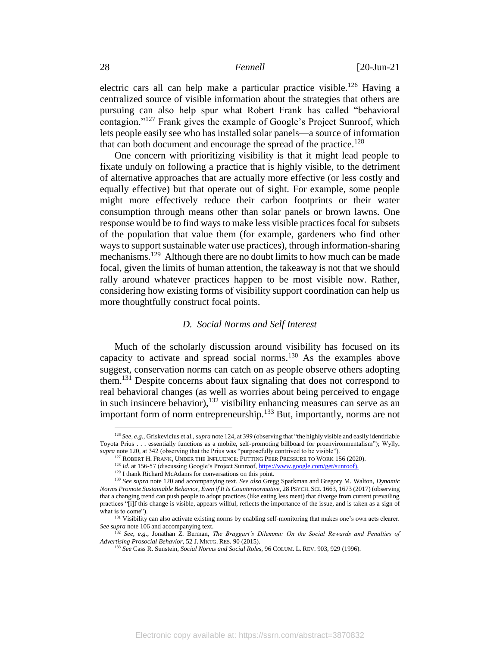electric cars all can help make a particular practice visible.<sup>126</sup> Having a centralized source of visible information about the strategies that others are pursuing can also help spur what Robert Frank has called "behavioral contagion."<sup>127</sup> Frank gives the example of Google's Project Sunroof, which lets people easily see who has installed solar panels—a source of information that can both document and encourage the spread of the practice.<sup>128</sup>

One concern with prioritizing visibility is that it might lead people to fixate unduly on following a practice that is highly visible, to the detriment of alternative approaches that are actually more effective (or less costly and equally effective) but that operate out of sight. For example, some people might more effectively reduce their carbon footprints or their water consumption through means other than solar panels or brown lawns. One response would be to find ways to make less visible practices focal for subsets of the population that value them (for example, gardeners who find other ways to support sustainable water use practices), through information-sharing mechanisms.<sup>129</sup> Although there are no doubt limits to how much can be made focal, given the limits of human attention, the takeaway is not that we should rally around whatever practices happen to be most visible now. Rather, considering how existing forms of visibility support coordination can help us more thoughtfully construct focal points.

# <span id="page-28-0"></span>*D. Social Norms and Self Interest*

Much of the scholarly discussion around visibility has focused on its capacity to activate and spread social norms. <sup>130</sup> As the examples above suggest, conservation norms can catch on as people observe others adopting them.<sup>131</sup> Despite concerns about faux signaling that does not correspond to real behavioral changes (as well as worries about being perceived to engage in such insincere behavior),  $132$  visibility enhancing measures can serve as an important form of norm entrepreneurship.<sup>133</sup> But, importantly, norms are not

<sup>126</sup> *See, e.g.,* Griskevicius et al., *supra* not[e 124,](#page-27-0) at 399 (observing that "the highly visible and easily identifiable Toyota Prius . . . essentially functions as a mobile, self-promoting billboard for proenvironmentalism"); Wylly, *supra* not[e 120,](#page-26-0) at 342 (observing that the Prius was "purposefully contrived to be visible").

<sup>&</sup>lt;sup>127</sup> ROBERT H. FRANK, UNDER THE INFLUENCE: PUTTING PEER PRESSURE TO WORK 156 (2020).

<sup>&</sup>lt;sup>128</sup> *Id.* at 156-57 (discussing Google's Project Sunroof, [https://www.google.com/get/sunroof\)](https://www.google.com/get/sunroof).

<sup>&</sup>lt;sup>129</sup> I thank Richard McAdams for conversations on this point.

<sup>130</sup> *See supra* note [120](#page-26-0) and accompanying text. *See also* Gregg Sparkman and Gregory M. Walton, *Dynamic Norms Promote Sustainable Behavior, Even if It Is Counternormative*, 28 PSYCH. SCI. 1663, 1673 (2017) (observing that a changing trend can push people to adopt practices (like eating less meat) that diverge from current prevailing practices "[i]f this change is visible, appears willful, reflects the importance of the issue, and is taken as a sign of what is to come").

<sup>&</sup>lt;sup>131</sup> Visibility can also activate existing norms by enabling self-monitoring that makes one's own acts clearer. *See supra* not[e 106](#page-24-0) and accompanying text.

<sup>132</sup> *See, e.g.,* Jonathan Z. Berman, *The Braggart's Dilemma: On the Social Rewards and Penalties of Advertising Prosocial Behavior*, 52 J. MKTG. RES. 90 (2015).

<sup>133</sup> *See* Cass R. Sunstein, *Social Norms and Social Roles*, 96 COLUM. L. REV. 903, 929 (1996).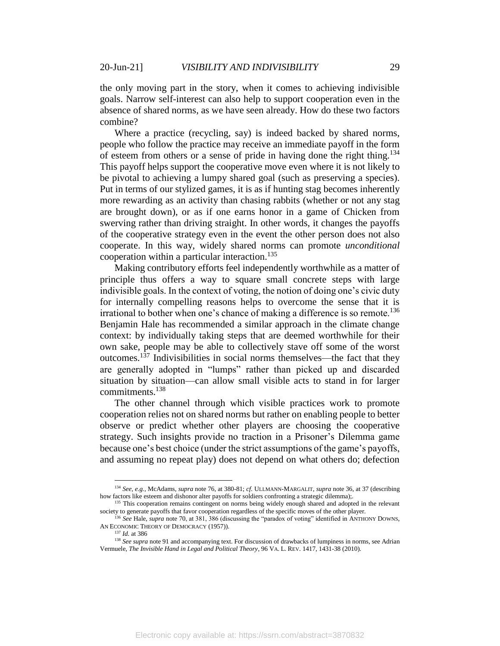the only moving part in the story, when it comes to achieving indivisible goals. Narrow self-interest can also help to support cooperation even in the absence of shared norms, as we have seen already. How do these two factors combine?

Where a practice (recycling, say) is indeed backed by shared norms, people who follow the practice may receive an immediate payoff in the form of esteem from others or a sense of pride in having done the right thing.<sup>134</sup> This payoff helps support the cooperative move even where it is not likely to be pivotal to achieving a lumpy shared goal (such as preserving a species). Put in terms of our stylized games, it is as if hunting stag becomes inherently more rewarding as an activity than chasing rabbits (whether or not any stag are brought down), or as if one earns honor in a game of Chicken from swerving rather than driving straight. In other words, it changes the payoffs of the cooperative strategy even in the event the other person does not also cooperate. In this way, widely shared norms can promote *unconditional* cooperation within a particular interaction. 135

Making contributory efforts feel independently worthwhile as a matter of principle thus offers a way to square small concrete steps with large indivisible goals. In the context of voting, the notion of doing one's civic duty for internally compelling reasons helps to overcome the sense that it is irrational to bother when one's chance of making a difference is so remote.<sup>136</sup> Benjamin Hale has recommended a similar approach in the climate change context: by individually taking steps that are deemed worthwhile for their own sake, people may be able to collectively stave off some of the worst outcomes.<sup>137</sup> Indivisibilities in social norms themselves—the fact that they are generally adopted in "lumps" rather than picked up and discarded situation by situation—can allow small visible acts to stand in for larger commitments.<sup>138</sup>

The other channel through which visible practices work to promote cooperation relies not on shared norms but rather on enabling people to better observe or predict whether other players are choosing the cooperative strategy. Such insights provide no traction in a Prisoner's Dilemma game because one's best choice (under the strict assumptions of the game's payoffs, and assuming no repeat play) does not depend on what others do; defection

<sup>134</sup> *See, e.g.,* McAdams, *supra* not[e 76,](#page-17-0) at 380-81; *cf.* ULLMANN-MARGALIT, *supra* not[e 36,](#page-8-4) at 37 (describing how factors like esteem and dishonor alter payoffs for soldiers confronting a strategic dilemma);.

<sup>&</sup>lt;sup>135</sup> This cooperation remains contingent on norms being widely enough shared and adopted in the relevant society to generate payoffs that favor cooperation regardless of the specific moves of the other player.

<sup>136</sup> *See* Hale, *supra* not[e 70,](#page-16-0) at 381, 386 (discussing the "paradox of voting" identified in ANTHONY DOWNS, AN ECONOMIC THEORY OF DEMOCRACY (1957)).

<sup>137</sup> *Id.* at 386

<sup>&</sup>lt;sup>138</sup> *See supra* not[e 91](#page-22-0) and accompanying text. For discussion of drawbacks of lumpiness in norms, see Adrian Vermuele, *The Invisible Hand in Legal and Political Theory*, 96 VA. L. REV. 1417, 1431-38 (2010).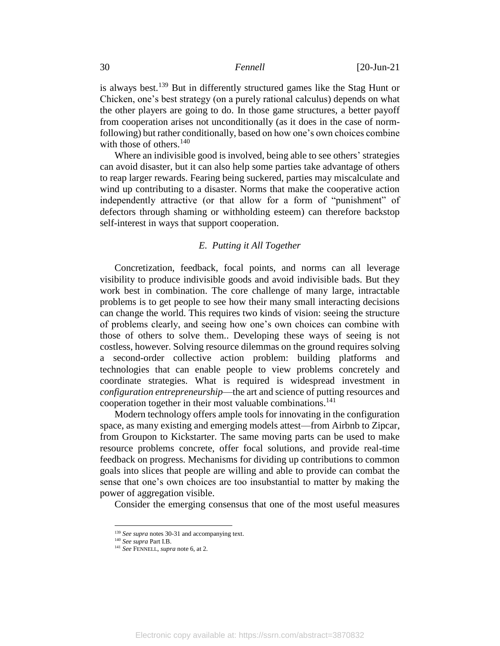is always best.<sup>139</sup> But in differently structured games like the Stag Hunt or Chicken, one's best strategy (on a purely rational calculus) depends on what the other players are going to do. In those game structures, a better payoff from cooperation arises not unconditionally (as it does in the case of normfollowing) but rather conditionally, based on how one's own choices combine with those of others.<sup>140</sup>

Where an indivisible good is involved, being able to see others' strategies can avoid disaster, but it can also help some parties take advantage of others to reap larger rewards. Fearing being suckered, parties may miscalculate and wind up contributing to a disaster. Norms that make the cooperative action independently attractive (or that allow for a form of "punishment" of defectors through shaming or withholding esteem) can therefore backstop self-interest in ways that support cooperation.

# *E. Putting it All Together*

Concretization, feedback, focal points, and norms can all leverage visibility to produce indivisible goods and avoid indivisible bads. But they work best in combination. The core challenge of many large, intractable problems is to get people to see how their many small interacting decisions can change the world. This requires two kinds of vision: seeing the structure of problems clearly, and seeing how one's own choices can combine with those of others to solve them.. Developing these ways of seeing is not costless, however. Solving resource dilemmas on the ground requires solving a second-order collective action problem: building platforms and technologies that can enable people to view problems concretely and coordinate strategies. What is required is widespread investment in *configuration entrepreneurship*—the art and science of putting resources and cooperation together in their most valuable combinations.<sup>141</sup>

Modern technology offers ample tools for innovating in the configuration space, as many existing and emerging models attest—from Airbnb to Zipcar, from Groupon to Kickstarter. The same moving parts can be used to make resource problems concrete, offer focal solutions, and provide real-time feedback on progress. Mechanisms for dividing up contributions to common goals into slices that people are willing and able to provide can combat the sense that one's own choices are too insubstantial to matter by making the power of aggregation visible.

Consider the emerging consensus that one of the most useful measures

<sup>&</sup>lt;sup>139</sup> *See supra* note[s 30](#page-7-1)[-31](#page-7-0) and accompanying text.

<sup>140</sup> *See supra* Part I.B.

<sup>141</sup> *See* FENNELL, *supra* not[e 6,](#page-2-1) at 2.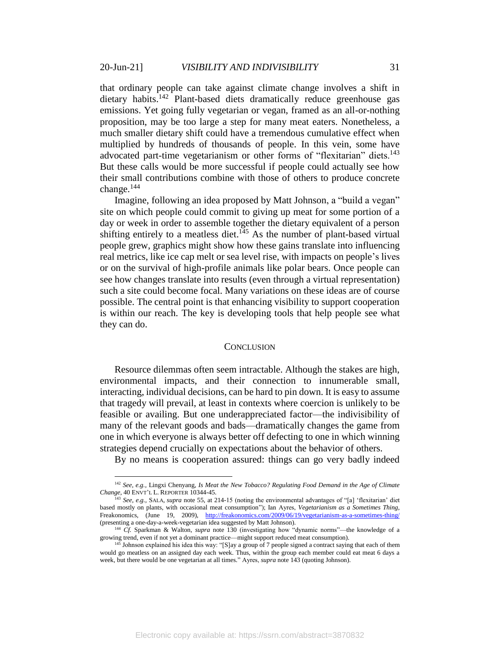that ordinary people can take against climate change involves a shift in dietary habits.<sup>142</sup> Plant-based diets dramatically reduce greenhouse gas emissions. Yet going fully vegetarian or vegan, framed as an all-or-nothing proposition, may be too large a step for many meat eaters. Nonetheless, a much smaller dietary shift could have a tremendous cumulative effect when multiplied by hundreds of thousands of people. In this vein, some have advocated part-time vegetarianism or other forms of "flexitarian" diets.<sup>143</sup> But these calls would be more successful if people could actually see how their small contributions combine with those of others to produce concrete change. $144$ 

Imagine, following an idea proposed by Matt Johnson, a "build a vegan" site on which people could commit to giving up meat for some portion of a day or week in order to assemble together the dietary equivalent of a person shifting entirely to a meatless diet.<sup>145</sup> As the number of plant-based virtual people grew, graphics might show how these gains translate into influencing real metrics, like ice cap melt or sea level rise, with impacts on people's lives or on the survival of high-profile animals like polar bears. Once people can see how changes translate into results (even through a virtual representation) such a site could become focal. Many variations on these ideas are of course possible. The central point is that enhancing visibility to support cooperation is within our reach. The key is developing tools that help people see what they can do.

### <span id="page-31-0"></span>**CONCLUSION**

Resource dilemmas often seem intractable. Although the stakes are high, environmental impacts, and their connection to innumerable small, interacting, individual decisions, can be hard to pin down. It is easy to assume that tragedy will prevail, at least in contexts where coercion is unlikely to be feasible or availing. But one underappreciated factor—the indivisibility of many of the relevant goods and bads—dramatically changes the game from one in which everyone is always better off defecting to one in which winning strategies depend crucially on expectations about the behavior of others.

By no means is cooperation assured: things can go very badly indeed

<sup>142</sup> *See, e.g.,* Lingxi Chenyang, *Is Meat the New Tobacco? Regulating Food Demand in the Age of Climate Change*, 40 ENVT'L L. REPORTER 10344-45.

<sup>143</sup> *See, e.g.,* SALA, *supra* not[e 55,](#page-11-0) at 214-15 (noting the environmental advantages of "[a] 'flexitarian' diet based mostly on plants, with occasional meat consumption"); Ian Ayres, *Vegetarianism as a Sometimes Thing*, Freakonomics, (June 19, 2009), <http://freakonomics.com/2009/06/19/vegetarianism-as-a-sometimes-thing/> (presenting a one-day-a-week-vegetarian idea suggested by Matt Johnson).

<sup>144</sup> *Cf.* Sparkman & Walton, *supra* note [130](#page-28-0) (investigating how "dynamic norms"—the knowledge of a growing trend, even if not yet a dominant practice—might support reduced meat consumption).

<sup>&</sup>lt;sup>145</sup> Johnson explained his idea this way: "[S]ay a group of 7 people signed a contract saying that each of them would go meatless on an assigned day each week. Thus, within the group each member could eat meat 6 days a week, but there would be one vegetarian at all times." Ayres, *supra* not[e 143](#page-31-0) (quoting Johnson).